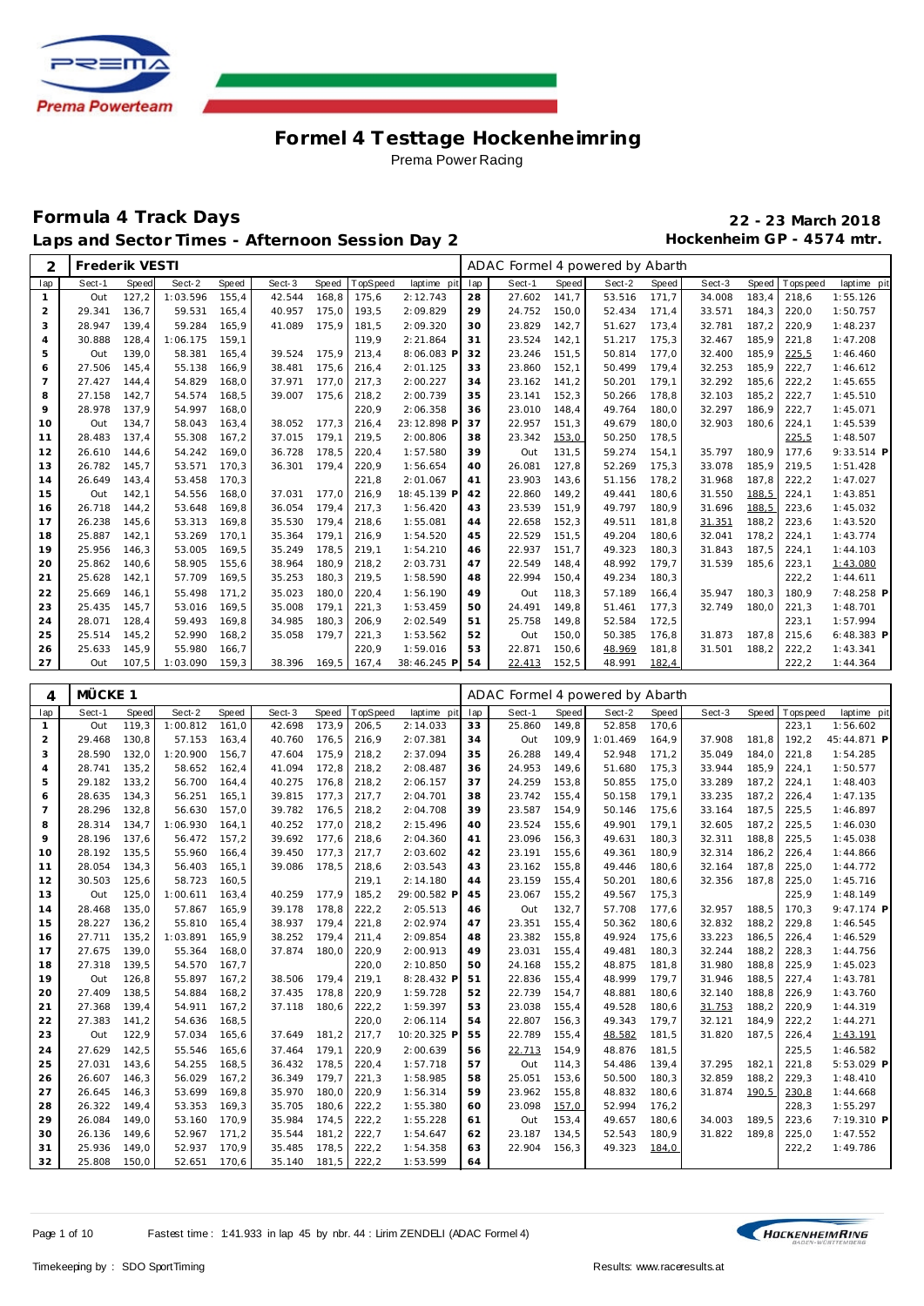

#### **Formula 4 Track Days 22 - 23 March 2018** Laps and Sector Times - Afternoon Session Day 2 **Hockenheim GP** - 4574 mtr.

| 2              | Frederik VESTI |              |          |       |        |       |                 |             |     | ADAC Formel 4 powered by Abarth |       |        |       |        |              |             |             |
|----------------|----------------|--------------|----------|-------|--------|-------|-----------------|-------------|-----|---------------------------------|-------|--------|-------|--------|--------------|-------------|-------------|
| lap            | Sect-1         | <b>Speed</b> | Sect-2   | Speed | Sect-3 | Speed | <b>TopSpeed</b> | laptime pit | lap | Sect-1                          | Speed | Sect-2 | Speed | Sect-3 | <b>Speed</b> | T ops pee d | laptime pit |
|                | Out            | 127.2        | 1:03.596 | 155.4 | 42.544 | 168.8 | 175.6           | 2:12.743    | 28  | 27.602                          | 141.7 | 53.516 | 171,7 | 34.008 | 183.4        | 218.6       | 1:55.126    |
| $\overline{2}$ | 29.341         | 136,7        | 59.531   | 165,4 | 40.957 | 175,0 | 193,5           | 2:09.829    | 29  | 24.752                          | 150,0 | 52.434 | 171,4 | 33.571 | 184,3        | 220,0       | 1:50.757    |
| 3              | 28.947         | 139.4        | 59.284   | 165.9 | 41.089 | 175.9 | 181.5           | 2:09.320    | 30  | 23.829                          | 142,7 | 51.627 | 173,4 | 32.781 | 187.2        | 220.9       | 1:48.237    |
| $\overline{4}$ | 30.888         | 128.4        | 1:06.175 | 159.1 |        |       | 119.9           | 2:21.864    | 31  | 23.524                          | 142,1 | 51.217 | 175,3 | 32.467 | 185.9        | 221,8       | 1:47.208    |
| 5              | Out            | 139.0        | 58.381   | 165.4 | 39.524 | 175.9 | 213,4           | 8:06.083 F  | 32  | 23.246                          | 151,5 | 50.814 | 177,0 | 32.400 | 185.9        | 225,5       | 1:46.460    |
| 6              | 27.506         | 145,4        | 55.138   | 166.9 | 38.481 | 175.6 | 216,4           | 2:01.125    | 33  | 23.860                          | 152,1 | 50.499 | 179,4 | 32.253 | 185.9        | 222,7       | 1:46.612    |
| $\overline{7}$ | 27.427         | 144.4        | 54.829   | 168.0 | 37.971 | 177.0 | 217,3           | 2:00.227    | 34  | 23.162                          | 141,2 | 50.201 | 179,1 | 32.292 | 185.6        | 222,2       | 1:45.655    |
| 8              | 27.158         | 142,7        | 54.574   | 168.5 | 39.007 | 175,6 | 218,2           | 2:00.739    | 35  | 23.141                          | 152,3 | 50.266 | 178,8 | 32.103 | 185.2        | 222,7       | 1:45.510    |
| 9              | 28.978         | 137.9        | 54.997   | 168.0 |        |       | 220,9           | 2:06.358    | 36  | 23.010                          | 148,4 | 49.764 | 180,0 | 32.297 | 186.9        | 222,7       | 1:45.071    |
| 10             | Out            | 134,7        | 58.043   | 163,4 | 38.052 | 177.3 | 216,4           | 23:12.898 F | 37  | 22.957                          | 151,3 | 49.679 | 180,0 | 32.903 | 180.6        | 224,1       | 1:45.539    |
| 11             | 28.483         | 137.4        | 55.308   | 167,2 | 37.015 | 179.1 | 219,5           | 2:00.806    | 38  | 23.342                          | 153,0 | 50.250 | 178,5 |        |              | 225,5       | 1:48.507    |
| 12             | 26.610         | 144.6        | 54.242   | 169.0 | 36.728 | 178.5 | 220,4           | 1:57.580    | 39  | Out                             | 131,5 | 59.274 | 154,1 | 35.797 | 180.9        | 177.6       | 9:33.514 P  |
| 13             | 26.782         | 145,7        | 53.571   | 170,3 | 36.301 | 179.4 | 220,9           | 1:56.654    | 40  | 26.081                          | 127,8 | 52.269 | 175,3 | 33.078 | 185,9        | 219,5       | 1:51.428    |
| 14             | 26.649         | 143,4        | 53.458   | 170,3 |        |       | 221,8           | 2:01.067    | 41  | 23.903                          | 143,6 | 51.156 | 178,2 | 31.968 | 187,8        | 222,2       | 1:47.027    |
| 15             | Out            | 142,1        | 54.556   | 168.0 | 37.031 | 177.0 | 216,9           | 18:45.139 P | 42  | 22.860                          | 149,2 | 49.441 | 180,6 | 31.550 | 188,5        | 224,1       | 1:43.851    |
| 16             | 26.718         | 144.2        | 53.648   | 169,8 | 36.054 | 179.4 | 217,3           | 1:56.420    | 43  | 23.539                          | 151,9 | 49.797 | 180,9 | 31.696 | 188,5        | 223,6       | 1:45.032    |
| 17             | 26.238         | 145,6        | 53.313   | 169,8 | 35.530 | 179.4 | 218,6           | 1:55.081    | 44  | 22.658                          | 152,3 | 49.511 | 181,8 | 31.351 | 188,2        | 223,6       | 1:43.520    |
| 18             | 25.887         | 142,1        | 53.269   | 170.1 | 35.364 | 179.1 | 216,9           | 1:54.520    | 45  | 22.529                          | 151,5 | 49.204 | 180,6 | 32.041 | 178,2        | 224,1       | 1:43.774    |
| 19             | 25.956         | 146,3        | 53.005   | 169,5 | 35.249 | 178.5 | 219,1           | 1:54.210    | 46  | 22.937                          | 151,7 | 49.323 | 180,3 | 31.843 | 187.5        | 224,1       | 1:44.103    |
| 20             | 25.862         | 140,6        | 58.905   | 155,6 | 38.964 | 180.9 | 218,2           | 2:03.731    | 47  | 22.549                          | 148,4 | 48.992 | 179,7 | 31.539 | 185,6        | 223,1       | 1:43.080    |
| 21             | 25.628         | 142,1        | 57.709   | 169,5 | 35.253 | 180,3 | 219,5           | 1:58.590    | 48  | 22.994                          | 150,4 | 49.234 | 180,3 |        |              | 222,2       | 1:44.611    |
| 22             | 25.669         | 146.1        | 55.498   | 171,2 | 35.023 | 180,0 | 220,4           | 1:56.190    | 49  | Out                             | 118,3 | 57.189 | 166,4 | 35.947 | 180.3        | 180,9       | 7:48.258 P  |
| 23             | 25.435         | 145,7        | 53.016   | 169,5 | 35.008 | 179.1 | 221,3           | 1:53.459    | 50  | 24.491                          | 149,8 | 51.461 | 177,3 | 32.749 | 180,0        | 221,3       | 1:48.701    |
| 24             | 28.071         | 128,4        | 59.493   | 169,8 | 34.985 | 180.3 | 206,9           | 2:02.549    | 51  | 25.758                          | 149,8 | 52.584 | 172,5 |        |              | 223,1       | 1:57.994    |
| 25             | 25.514         | 145,2        | 52.990   | 168,2 | 35.058 | 179,7 | 221,3           | 1:53.562    | 52  | Out                             | 150,0 | 50.385 | 176,8 | 31.873 | 187,8        | 215,6       | 6:48.383 P  |
| 26             | 25.633         | 145,9        | 55.980   | 166,7 |        |       | 220,9           | 1:59.016    | 53  | 22.871                          | 150,6 | 48.969 | 181,8 | 31.501 | 188,2        | 222,2       | 1:43.341    |
| 27             | Out            | 107,5        | 1:03.090 | 159,3 | 38.396 | 169,5 | 167,4           | 38:46.245 P | 54  | 22.413                          | 152,5 | 48.991 | 182,4 |        |              | 222,2       | 1:44.364    |

| 4              | MÜCKE 1 |       |          |              |        |              |          |             |     | ADAC Formel 4 powered by Abarth |       |          |       |        |       |             |             |
|----------------|---------|-------|----------|--------------|--------|--------------|----------|-------------|-----|---------------------------------|-------|----------|-------|--------|-------|-------------|-------------|
| lap            | Sect-1  | Speed | Sect-2   | <b>Speed</b> | Sect-3 | <b>Speed</b> | TopSpeed | laptime pit | lap | Sect-1                          | Speed | Sect-2   | Speed | Sect-3 | Speed | T ops pee d | laptime pit |
| $\mathbf{1}$   | Out     | 119,3 | 1:00.812 | 161,0        | 42.698 | 173,9        | 206,5    | 2:14.033    | 33  | 25.860                          | 149,8 | 52.858   | 170,6 |        |       | 223,1       | 1:56.602    |
| 2              | 29.468  | 130,8 | 57.153   | 163,4        | 40.760 | 176,5        | 216,9    | 2:07.381    | 34  | Out                             | 109,9 | 1:01.469 | 164,9 | 37.908 | 181,8 | 192,2       | 45:44.871 P |
| 3              | 28.590  | 132,0 | 1:20.900 | 156,7        | 47.604 | 175,9        | 218,2    | 2:37.094    | 35  | 26.288                          | 149,4 | 52.948   | 171,2 | 35.049 | 184,0 | 221,8       | 1:54.285    |
| $\overline{4}$ | 28.741  | 135,2 | 58.652   | 162,4        | 41.094 | 172,8        | 218,2    | 2:08.487    | 36  | 24.953                          | 149,6 | 51.680   | 175,3 | 33.944 | 185,9 | 224,1       | 1:50.577    |
| 5              | 29.182  | 133,2 | 56.700   | 164,4        | 40.275 | 176,8        | 218,2    | 2:06.157    | 37  | 24.259                          | 153,8 | 50.855   | 175,0 | 33.289 | 187,2 | 224,1       | 1:48.403    |
| 6              | 28.635  | 134,3 | 56.251   | 165,1        | 39.815 | 177,3        | 217,7    | 2:04.701    | 38  | 23.742                          | 155,4 | 50.158   | 179,1 | 33.235 | 187,2 | 226,4       | 1:47.135    |
| $\overline{7}$ | 28.296  | 132,8 | 56.630   | 157,0        | 39.782 | 176,5        | 218,2    | 2:04.708    | 39  | 23.587                          | 154,9 | 50.146   | 175,6 | 33.164 | 187,5 | 225,5       | 1:46.897    |
| 8              | 28.314  | 134,7 | 1:06.930 | 164,1        | 40.252 | 177.0        | 218,2    | 2:15.496    | 40  | 23.524                          | 155,6 | 49.901   | 179,1 | 32.605 | 187,2 | 225,5       | 1:46.030    |
| 9              | 28.196  | 137,6 | 56.472   | 157,2        | 39.692 | 177,6        | 218,6    | 2:04.360    | 41  | 23.096                          | 156,3 | 49.631   | 180,3 | 32.311 | 188,8 | 225,5       | 1:45.038    |
| 10             | 28.192  | 135,5 | 55.960   | 166,4        | 39.450 | 177,3        | 217,7    | 2:03.602    | 42  | 23.191                          | 155,6 | 49.361   | 180,9 | 32.314 | 186,2 | 226,4       | 1:44.866    |
| 11             | 28.054  | 134,3 | 56.403   | 165,1        | 39.086 | 178,5        | 218,6    | 2:03.543    | 43  | 23.162                          | 155,8 | 49.446   | 180,6 | 32.164 | 187,8 | 225,0       | 1:44.772    |
| 12             | 30.503  | 125,6 | 58.723   | 160,5        |        |              | 219,1    | 2:14.180    | 44  | 23.159                          | 155,4 | 50.201   | 180,6 | 32.356 | 187,8 | 225,0       | 1:45.716    |
| 13             | Out     | 125,0 | 1:00.611 | 163,4        | 40.259 | 177,9        | 185,2    | 29:00.582 F | 45  | 23.067                          | 155,2 | 49.567   | 175,3 |        |       | 225,9       | 1:48.149    |
| 14             | 28.468  | 135,0 | 57.867   | 165,9        | 39.178 | 178,8        | 222,2    | 2:05.513    | 46  | Out                             | 132,7 | 57.708   | 177,6 | 32.957 | 188,5 | 170,3       | 9:47.174 P  |
| 15             | 28.227  | 136,2 | 55.810   | 165,4        | 38.937 | 179,4        | 221,8    | 2:02.974    | 47  | 23.351                          | 155,4 | 50.362   | 180,6 | 32.832 | 188,2 | 229,8       | 1:46.545    |
| 16             | 27.711  | 135,2 | 1:03.891 | 165,9        | 38.252 | 179,4        | 211,4    | 2:09.854    | 48  | 23.382                          | 155,8 | 49.924   | 175,6 | 33.223 | 186,5 | 226,4       | 1:46.529    |
| 17             | 27.675  | 139,0 | 55.364   | 168,0        | 37.874 | 180,0        | 220,9    | 2:00.913    | 49  | 23.031                          | 155,4 | 49.481   | 180,3 | 32.244 | 188,2 | 228,3       | 1:44.756    |
| 18             | 27.318  | 139,5 | 54.570   | 167,7        |        |              | 220,0    | 2:10.850    | 50  | 24.168                          | 155,2 | 48.875   | 181,8 | 31.980 | 188,8 | 225,9       | 1:45.023    |
| 19             | Out     | 126,8 | 55.897   | 167,2        | 38.506 | 179.4        | 219,1    | 8:28.432 F  | 51  | 22.836                          | 155,4 | 48.999   | 179,7 | 31.946 | 188,5 | 227,4       | 1:43.781    |
| 20             | 27.409  | 138,5 | 54.884   | 168,2        | 37.435 | 178,8        | 220,9    | 1:59.728    | 52  | 22.739                          | 154,7 | 48.881   | 180,6 | 32.140 | 188,8 | 226,9       | 1:43.760    |
| 21             | 27.368  | 139,4 | 54.911   | 167,2        | 37.118 | 180,6        | 222,2    | 1:59.397    | 53  | 23.038                          | 155,4 | 49.528   | 180,6 | 31.753 | 188,2 | 220,9       | 1:44.319    |
| 22             | 27.383  | 141,2 | 54.636   | 168,5        |        |              | 220,0    | 2:06.114    | 54  | 22.807                          | 156,3 | 49.343   | 179,7 | 32.121 | 184,9 | 222,2       | 1:44.271    |
| 23             | Out     | 122,9 | 57.034   | 165,6        | 37.649 | 181,2        | 217,7    | 10:20.325 F | 55  | 22.789                          | 155,4 | 48.582   | 181,5 | 31.820 | 187,5 | 226,4       | 1:43.191    |
| 24             | 27.629  | 142,5 | 55.546   | 165,6        | 37.464 | 179.1        | 220,9    | 2:00.639    | 56  | 22.713                          | 154,9 | 48.876   | 181,5 |        |       | 225,5       | 1:46.582    |
| 25             | 27.031  | 143,6 | 54.255   | 168,5        | 36.432 | 178,5        | 220,4    | 1:57.718    | 57  | Out                             | 114,3 | 54.486   | 139,4 | 37.295 | 182,1 | 221,8       | 5:53.029 P  |
| 26             | 26.607  | 146,3 | 56.029   | 167,2        | 36.349 | 179,7        | 221,3    | 1:58.985    | 58  | 25.051                          | 153,6 | 50.500   | 180,3 | 32.859 | 188,2 | 229,3       | 1:48.410    |
| 27             | 26.645  | 146,3 | 53.699   | 169,8        | 35.970 | 180,0        | 220,9    | 1:56.314    | 59  | 23.962                          | 155,8 | 48.832   | 180,6 | 31.874 | 190,5 | 230,8       | 1:44.668    |
| 28             | 26.322  | 149,4 | 53.353   | 169,3        | 35.705 | 180,6        | 222,2    | 1:55.380    | 60  | 23.098                          | 157,0 | 52.994   | 176,2 |        |       | 228,3       | 1:55.297    |
| 29             | 26.084  | 149,0 | 53.160   | 170,9        | 35.984 | 174,5        | 222,2    | 1:55.228    | 61  | Out                             | 153,4 | 49.657   | 180,6 | 34.003 | 189,5 | 223,6       | 7:19.310 P  |
| 30             | 26.136  | 149,6 | 52.967   | 171,2        | 35.544 | 181,2        | 222,7    | 1:54.647    | 62  | 23.187                          | 134,5 | 52.543   | 180,9 | 31.822 | 189.8 | 225,0       | 1:47.552    |
| 31             | 25.936  | 149,0 | 52.937   | 170,9        | 35.485 | 178,5        | 222,2    | 1:54.358    | 63  | 22.904                          | 156,3 | 49.323   | 184,0 |        |       | 222,2       | 1:49.786    |
| 32             | 25.808  | 150,0 | 52.651   | 170,6        | 35.140 | 181,5        | 222,2    | 1:53.599    | 64  |                                 |       |          |       |        |       |             |             |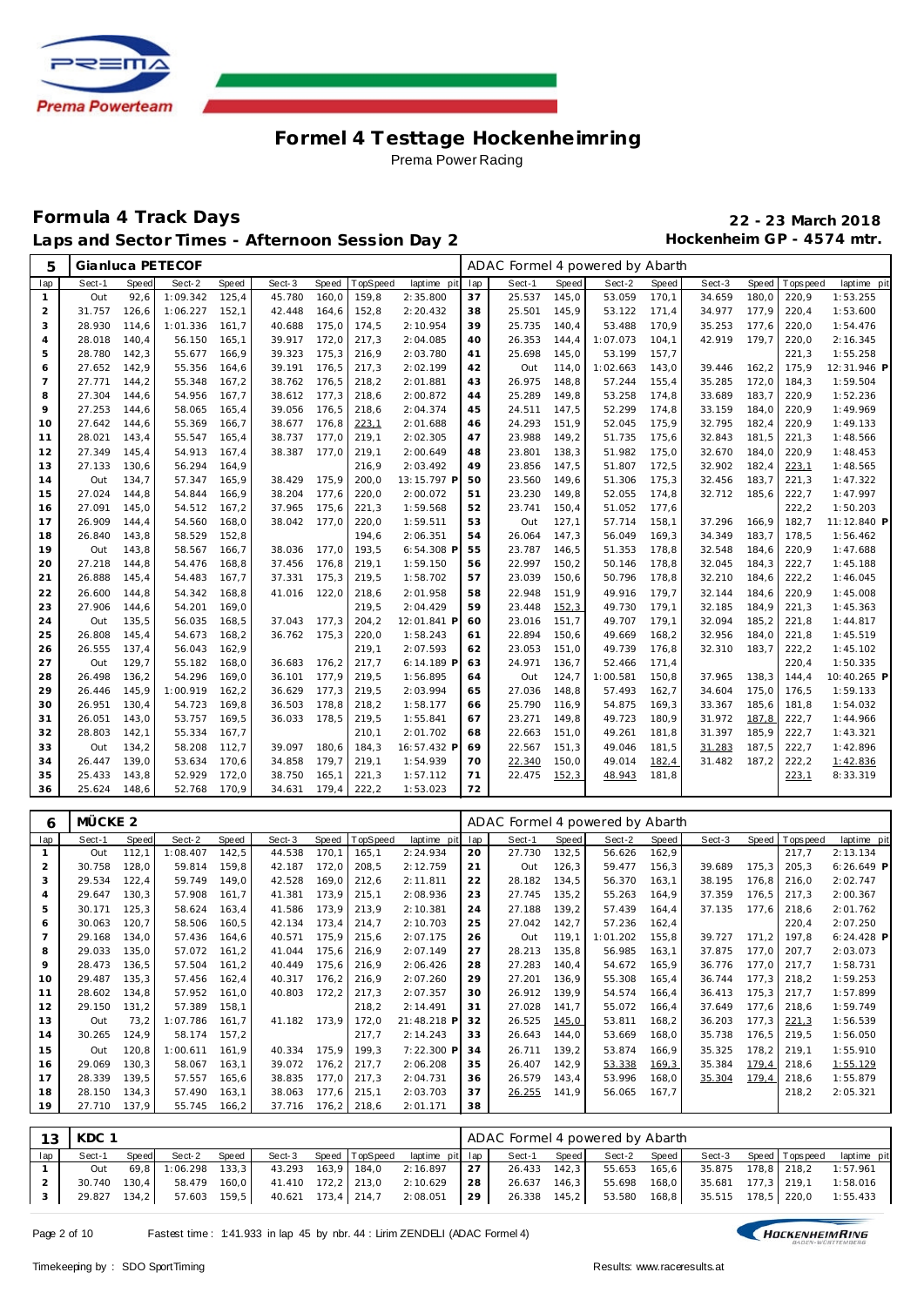

#### **Formula 4 Track Days 22 - 23 March 2018** Laps and Sector Times - Afternoon Session Day 2 **Hockenheim GP** - 4574 mtr.

| 5        |                    |                | Gianluca PETECOF |                | ADAC Formel 4 powered by Abarth<br>TopSpeed<br>lap<br>Sect-1<br><b>Speed</b><br>Sect-2<br><b>Speed</b><br>Sect-3<br><b>Speed</b><br>Sect-3<br>Speed<br>laptime pit<br>T ops pee d |                |                |                         |          |                                 |                |                  |                |                  |                |                |                      |
|----------|--------------------|----------------|------------------|----------------|-----------------------------------------------------------------------------------------------------------------------------------------------------------------------------------|----------------|----------------|-------------------------|----------|---------------------------------|----------------|------------------|----------------|------------------|----------------|----------------|----------------------|
| lap      | Sect-1             | <b>Speed</b>   | Sect-2           | <b>Speed</b>   |                                                                                                                                                                                   |                |                |                         |          |                                 |                |                  |                |                  |                |                | laptime pit          |
| 1        | Out                | 92,6           | 1:09.342         | 125,4          | 45.780                                                                                                                                                                            | 160,0          | 159,8          | 2:35.800                | 37       | 25.537                          | 145,0          | 53.059           | 170,1          | 34.659           | 180,0          | 220,9          | 1:53.255             |
| 2        | 31.757             | 126,6          | 1:06.227         | 152,1          | 42.448                                                                                                                                                                            | 164,6          | 152,8          | 2:20.432                | 38       | 25.501                          | 145,9          | 53.122           | 171,4          | 34.977           | 177,9          | 220,4          | 1:53.600             |
| 3        | 28.930             | 114.6          | 1:01.336         | 161,7          | 40.688                                                                                                                                                                            | 175,0          | 174,5          | 2:10.954                | 39       | 25.735                          | 140,4          | 53.488           | 170,9          | 35.253           | 177,6          | 220,0          | 1:54.476             |
| 4        | 28.018             | 140,4          | 56.150           | 165,1          | 39.917                                                                                                                                                                            | 172,0          | 217,3          | 2:04.085                | 40       | 26.353                          | 144,4          | 1:07.073         | 104,1          | 42.919           | 179,7          | 220,0          | 2:16.345             |
| 5        | 28.780             | 142,3          | 55.677           | 166,9          | 39.323                                                                                                                                                                            | 175,3          | 216,9          | 2:03.780                | 41       | 25.698                          | 145,0          | 53.199           | 157,7          |                  |                | 221,3          | 1:55.258             |
| 6        | 27.652             | 142,9          | 55.356           | 164,6          | 39.191                                                                                                                                                                            | 176,5          | 217,3          | 2:02.199                | 42       | Out                             | 114,0          | 1:02.663         | 143,0          | 39.446           | 162,2          | 175,9          | 12:31.946 P          |
| 7        | 27.771             | 144,2          | 55.348           | 167,2          | 38.762                                                                                                                                                                            | 176,5          | 218,2          | 2:01.881                | 43       | 26.975                          | 148,8          | 57.244           | 155,4          | 35.285           | 172,0          | 184,3          | 1:59.504             |
| 8        | 27.304             | 144,6          | 54.956           | 167,7          | 38.612                                                                                                                                                                            | 177,3          | 218,6          | 2:00.872                | 44       | 25.289                          | 149,8          | 53.258           | 174,8          | 33.689           | 183,7          | 220,9          | 1:52.236             |
| 9        | 27.253             | 144,6          | 58.065           | 165,4          | 39.056                                                                                                                                                                            | 176,5          | 218,6          | 2:04.374                | 45       | 24.511                          | 147,5          | 52.299           | 174,8          | 33.159           | 184,0          | 220,9          | 1:49.969             |
| 10       | 27.642             | 144,6          | 55.369           | 166,7          | 38.677                                                                                                                                                                            | 176,8          | 223,1          | 2:01.688                | 46       | 24.293                          | 151,9          | 52.045           | 175,9          | 32.795           | 182,4          | 220,9          | 1:49.133             |
| 11       | 28.021             | 143,4          | 55.547           | 165,4          | 38.737                                                                                                                                                                            | 177,0          | 219,1          | 2:02.305                | 47       | 23.988                          | 149,2          | 51.735           | 175,6          | 32.843           | 181,5          | 221,3          | 1:48.566             |
| 12       | 27.349             | 145,4          | 54.913           | 167,4          | 38.387                                                                                                                                                                            | 177,0          | 219,1          | 2:00.649                | 48       | 23.801                          | 138,3          | 51.982           | 175,0          | 32.670           | 184,0          | 220,9          | 1:48.453             |
| 13       | 27.133             | 130,6          | 56.294           | 164,9          |                                                                                                                                                                                   |                | 216,9          | 2:03.492                | 49       | 23.856                          | 147,5          | 51.807           | 172,5          | 32.902           | 182,4          | <u>223,1</u>   | 1:48.565             |
| 14       | Out                | 134,7          | 57.347           | 165,9          | 38.429                                                                                                                                                                            | 175,9          | 200,0          | 13:15.797 F             | 50       | 23.560                          | 149,6          | 51.306           | 175,3          | 32.456           | 183,7          | 221,3          | 1:47.322             |
| 15       | 27.024             | 144.8          | 54.844           | 166,9          | 38.204                                                                                                                                                                            | 177,6          | 220,0          | 2:00.072                | 51       | 23.230                          | 149,8          | 52.055           | 174,8          | 32.712           | 185,6          | 222,7          | 1:47.997             |
| 16       | 27.091             | 145,0          | 54.512           | 167,2          | 37.965                                                                                                                                                                            | 175,6          | 221,3          | 1:59.568                | 52       | 23.741                          | 150,4          | 51.052           | 177,6          |                  |                | 222,2          | 1:50.203             |
| 17       | 26.909             | 144,4          | 54.560           | 168,0          | 38.042                                                                                                                                                                            | 177,0          | 220,0          | 1:59.511                | 53       | Out                             | 127,1          | 57.714           | 158,1          | 37.296           | 166.9          | 182,7          | 11:12.840 P          |
| 18       | 26.840             | 143,8          | 58.529           | 152,8          |                                                                                                                                                                                   |                | 194,6          | 2:06.351                | 54       | 26.064                          | 147,3          | 56.049           | 169,3          | 34.349           | 183,7          | 178,5          | 1:56.462             |
| 19       | Out                | 143,8          | 58.567           | 166,7          | 38.036                                                                                                                                                                            | 177,0          | 193,5          | 6:54.308 F              | 55       | 23.787                          | 146,5          | 51.353           | 178,8          | 32.548           | 184,6          | 220,9          | 1:47.688             |
| 20       | 27.218             | 144,8          | 54.476           | 168,8          | 37.456                                                                                                                                                                            | 176,8          | 219,1          | 1:59.150                | 56       | 22.997                          | 150,2          | 50.146           | 178,8          | 32.045           | 184,3          | 222,7          | 1:45.188             |
| 21       | 26.888             | 145,4          | 54.483           | 167,7          | 37.331                                                                                                                                                                            | 175,3          | 219,5          | 1:58.702                | 57       | 23.039                          | 150,6          | 50.796           | 178,8          | 32.210           | 184,6          | 222,2          | 1:46.045             |
| 22       | 26.600             | 144,8          | 54.342           | 168,8          | 41.016                                                                                                                                                                            | 122,0          | 218,6          | 2:01.958                | 58       | 22.948                          | 151,9          | 49.916           | 179,7          | 32.144           | 184,6          | 220,9          | 1:45.008             |
| 23       | 27.906             | 144,6          | 54.201           | 169,0          |                                                                                                                                                                                   |                | 219,5          | 2:04.429                | 59       | 23.448                          | 152,3          | 49.730           | 179,1          | 32.185           | 184,9          | 221,3          | 1:45.363             |
| 24       | Out                | 135,5          | 56.035           | 168,5          | 37.043                                                                                                                                                                            | 177,3          | 204,2          | 12:01.841 F             | 60       | 23.016                          | 151,7          | 49.707           | 179,1          | 32.094           | 185,2          | 221,8          | 1:44.817             |
| 25       | 26.808             | 145,4          | 54.673           | 168,2          | 36.762                                                                                                                                                                            | 175,3          | 220,0          | 1:58.243                | 61       | 22.894                          | 150,6          | 49.669           | 168,2          | 32.956           | 184,0          | 221,8          | 1:45.519             |
| 26       | 26.555             | 137,4          | 56.043           | 162,9          |                                                                                                                                                                                   |                | 219,1          | 2:07.593                | 62       | 23.053                          | 151,0          | 49.739           | 176,8          | 32.310           | 183,7          | 222,2          | 1:45.102             |
| 27       | Out                | 129,7          | 55.182           | 168,0          | 36.683                                                                                                                                                                            | 176,2          | 217,7          | 6:14.189 P              | 63       | 24.971                          | 136,7          | 52.466           | 171,4          |                  |                | 220,4          | 1:50.335             |
| 28       | 26.498             | 136,2          | 54.296           | 169,0          | 36.101                                                                                                                                                                            | 177,9          | 219,5          | 1:56.895                | 64       | Out<br>27.036                   | 124,7          | 1:00.581         | 150,8          | 37.965<br>34.604 | 138,3          | 144,4          | 10:40.265 P          |
| 29       | 26.446<br>26.951   | 145,9          | 1:00.919         | 162,2          | 36.629                                                                                                                                                                            | 177,3          | 219,5          | 2:03.994                | 65       | 25.790                          | 148,8          | 57.493<br>54.875 | 162,7          |                  | 175,0          | 176,5          | 1:59.133<br>1:54.032 |
| 30<br>31 | 26.051             | 130,4<br>143,0 | 54.723<br>53.757 | 169,8<br>169,5 | 36.503<br>36.033                                                                                                                                                                  | 178,8<br>178,5 | 218,2<br>219,5 | 1:58.177<br>1:55.841    | 66<br>67 | 23.271                          | 116,9<br>149,8 | 49.723           | 169,3<br>180,9 | 33.367<br>31.972 | 185,6<br>187,8 | 181,8<br>222,7 | 1:44.966             |
| 32       | 28.803             | 142,1          | 55.334           | 167,7          |                                                                                                                                                                                   |                | 210,1          | 2:01.702                | 68       | 22.663                          | 151,0          | 49.261           | 181,8          | 31.397           | 185,9          | 222,7          | 1:43.321             |
|          |                    |                |                  |                | 39.097                                                                                                                                                                            |                |                |                         | 69       |                                 |                |                  |                |                  |                |                |                      |
| 33<br>34 | Out<br>26.447      | 134,2<br>139,0 | 58.208<br>53.634 | 112,7<br>170,6 | 34.858                                                                                                                                                                            | 180,6<br>179,7 | 184,3          | 16:57.432 P<br>1:54.939 | 70       | 22.567<br>22.340                | 151,3<br>150,0 | 49.046<br>49.014 | 181,5          | 31.283<br>31.482 | 187,5<br>187,2 | 222,7<br>222,2 | 1:42.896<br>1:42.836 |
| 35       | 25.433             | 143,8          | 52.929           | 172,0          | 38.750                                                                                                                                                                            | 165,1          | 219,1<br>221,3 | 1:57.112                | 71       | 22.475                          | 152,3          | 48.943           | 182,4<br>181,8 |                  |                | 223,1          | 8:33.319             |
| 36       | 25.624             | 148,6          | 52.768           | 170,9          | 34.631                                                                                                                                                                            | 179,4          | 222,2          | 1:53.023                | 72       |                                 |                |                  |                |                  |                |                |                      |
|          |                    |                |                  |                |                                                                                                                                                                                   |                |                |                         |          |                                 |                |                  |                |                  |                |                |                      |
| 6        | MÜCKE <sub>2</sub> |                |                  |                |                                                                                                                                                                                   |                |                |                         |          | ADAC Formel 4 powered by Abarth |                |                  |                |                  |                |                |                      |
|          | Sect-1             | Speed          | Sect-2           | Speed          | Sect-3                                                                                                                                                                            | Speed          | TopSpeed       | laptime pit             | lap      | Sect-1                          | Speed          | Sect-2           | Speed          | Sect-3           |                | Speed Topspeed | laptime pit          |
| lap      |                    |                |                  |                |                                                                                                                                                                                   |                |                |                         |          |                                 |                |                  |                |                  |                |                |                      |

| v              | 1810011122 |              |          |        |        |        |          |             |     | $1.6710111101 + 1.00110101$ by Tibal at |       |          |       |        |       |                   |              |
|----------------|------------|--------------|----------|--------|--------|--------|----------|-------------|-----|-----------------------------------------|-------|----------|-------|--------|-------|-------------------|--------------|
| lap            | Sect-1     | <b>Speed</b> | Sect-2   | Speed  | Sect-3 | Speed  | TopSpeed | laptime pit | lap | Sect-1                                  | Speed | Sect-2   | Speed | Sect-3 |       | Speed   Tops peed | laptime pit  |
|                | Out        | 112,1        | 1:08.407 | 142,5  | 44.538 | 170,1  | 165,1    | 2:24.934    | 20  | 27.730                                  | 132,5 | 56.626   | 162,9 |        |       | 217,7             | 2:13.134     |
| 2              | 30.758     | 128,0        | 59.814   | 159,8  | 42.187 | 172,0  | 208,5    | 2:12.759    | 21  | Out                                     | 126,3 | 59.477   | 156,3 | 39.689 | 175,3 | 205,3             | 6:26.649 P   |
| 3              | 29.534     | 122,4        | 59.749   | 149,0  | 42.528 | 169,0  | 212,6    | 2:11.811    | 22  | 28.182                                  | 134,5 | 56.370   | 163,1 | 38.195 | 176,8 | 216,0             | 2:02.747     |
| $\overline{4}$ | 29.647     | 130,3        | 57.908   | 161,7  | 41.381 | 173,9  | 215,1    | 2:08.936    | 23  | 27.745                                  | 135,2 | 55.263   | 164,9 | 37.359 | 176,5 | 217,3             | 2:00.367     |
| 5              | 30.171     | 125,3        | 58.624   | 163,4  | 41.586 | 173,9  | 213,9    | 2:10.381    | 24  | 27.188                                  | 139,2 | 57.439   | 164,4 | 37.135 | 177,6 | 218,6             | 2:01.762     |
| 6              | 30.063     | 120,7        | 58.506   | 160, 5 | 42.134 | 173,4  | 214,7    | 2:10.703    | 25  | 27.042                                  | 142,7 | 57.236   | 162,4 |        |       | 220,4             | 2:07.250     |
|                | 29.168     | 134,0        | 57.436   | 164,6  | 40.571 | 175,9  | 215,6    | 2:07.175    | 26  | Out                                     | 119,1 | 1:01.202 | 155,8 | 39.727 | 171,2 | 197,8             | $6:24.428$ P |
| 8              | 29.033     | 135,0        | 57.072   | 161,2  | 41.044 | 175,6  | 216,9    | 2:07.149    | 27  | 28.213                                  | 135,8 | 56.985   | 163,1 | 37.875 | 177,0 | 207,7             | 2:03.073     |
| 9              | 28.473     | 136,5        | 57.504   | 161,2  | 40.449 | 175,6  | 216,9    | 2:06.426    | 28  | 27.283                                  | 140,4 | 54.672   | 165,9 | 36.776 | 177,0 | 217,7             | 1:58.731     |
| 10             | 29.487     | 135,3        | 57.456   | 162,4  | 40.317 | 176,2  | 216,9    | 2:07.260    | 29  | 27.201                                  | 136,9 | 55.308   | 165,4 | 36.744 | 177,3 | 218,2             | 1:59.253     |
| 11             | 28.602     | 134,8        | 57.952   | 161,0  | 40.803 | 172,2  | 217,3    | 2:07.357    | 30  | 26.912                                  | 139,9 | 54.574   | 166,4 | 36.413 | 175,3 | 217,7             | 1:57.899     |
| 12             | 29.150     | 131,2        | 57.389   | 158,1  |        |        | 218,2    | 2:14.491    | 31  | 27.028                                  | 141,7 | 55.072   | 166,4 | 37.649 | 177,6 | 218,6             | 1:59.749     |
| 13             | Out        | 73,2         | 1:07.786 | 161,7  | 41.182 | 173.9  | 172,0    | 21:48.218 P | 32  | 26.525                                  | 145,0 | 53.811   | 168,2 | 36.203 | 177,3 | 221,3             | 1:56.539     |
| 14             | 30.265     | 124,9        | 58.174   | 157,2  |        |        | 217,7    | 2:14.243    | 33  | 26.643                                  | 144,0 | 53.669   | 168,0 | 35.738 | 176,5 | 219,5             | 1:56.050     |
| 15             | Out        | 120,8        | 1:00.611 | 161,9  | 40.334 | 175,9  | 199,3    | 7:22.300 P  | 34  | 26.711                                  | 139,2 | 53.874   | 166,9 | 35.325 | 178,2 | 219,1             | 1:55.910     |
| 16             | 29.069     | 130,3        | 58.067   | 163,1  | 39.072 | 176, 2 | 217,7    | 2:06.208    | 35  | 26.407                                  | 142,9 | 53.338   | 169,3 | 35.384 | 179,4 | 218,6             | 1:55.129     |
| 17             | 28.339     | 139,5        | 57.557   | 165,6  | 38.835 | 177,0  | 217,3    | 2:04.731    | 36  | 26.579                                  | 143,4 | 53.996   | 168,0 | 35.304 | 179,4 | 218,6             | 1:55.879     |
| 18             | 28.150     | 134,3        | 57.490   | 163,1  | 38.063 | 177,6  | 215,1    | 2:03.703    | 37  | 26.255                                  | 141,9 | 56.065   | 167,7 |        |       | 218,2             | 2:05.321     |
| 19             | 27.710     | 137,9        | 55.745   | 166,2  | 37.716 | 176,2  | 218,6    | 2:01.171    | 38  |                                         |       |          |       |        |       |                   |              |
|                |            |              |          |        |        |        |          |             |     |                                         |       |          |       |        |       |                   |              |

| 13 <sup>1</sup> | KDC 1        |       |                     |       |                    |                             |                                       |     | ADAC Formel 4 powered by Abarth |       |                           |                             |  |                                                                                                                |
|-----------------|--------------|-------|---------------------|-------|--------------------|-----------------------------|---------------------------------------|-----|---------------------------------|-------|---------------------------|-----------------------------|--|----------------------------------------------------------------------------------------------------------------|
| lap             | Sect-1       | Speed | Sect-2              | Speed |                    |                             | Sect-3 Speed TopSpeed laptime pit lap |     | Sect-1                          | Speed | Sect-2 Speed              |                             |  | Sect-3 Speed Topspeed laptime pit                                                                              |
|                 | Out          |       | 69.8 1:06.298 133.3 |       |                    | 43.293 163.9 184.0 2:16.897 |                                       | 127 |                                 |       | 26.433 142,3 55.653 165,6 | 35.875 178,8 218,2 1:57.961 |  |                                                                                                                |
|                 | 30.740 130.4 |       | 58.479 160,0        |       | 41.410 172,2 213,0 |                             | 2:10.629                              | 28  |                                 |       | 26.637 146.3 55.698 168.0 |                             |  | 35.681 177,3 219,1 1:58.016                                                                                    |
|                 |              |       |                     |       |                    |                             |                                       |     |                                 |       |                           |                             |  | 29.827 134,2 57.603 159,5 40.621 173,4 214,7 2:08.051 29 26.338 145,2 53.580 168,8 35.515 178,5 220,0 1:55.433 |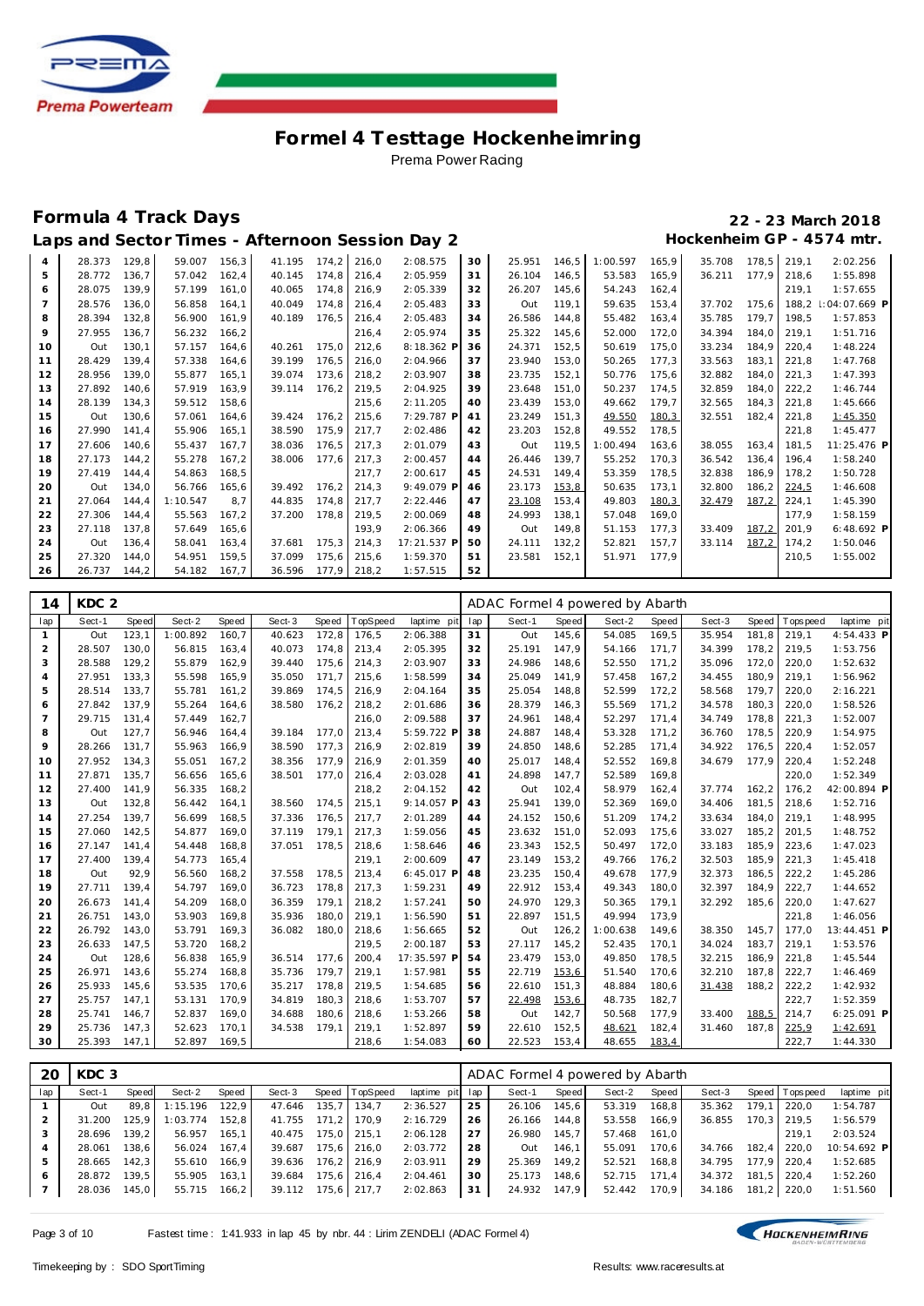

### **Formula 4 Track Days 22 - 23 March 2018**

# Laps and Sector Times - Afternoon Session Day 2 **Hockenheim GP** - 4574 mtr.

| $\overline{4}$ | 28.373 | 129.8 | 59.007   | 156,3 | 41.195 | 174.2 | 216,0 | 2:08.575    | 30 | 25.951 | 146,5 | 1:00.597 | 165,9 | 35.708 | 178.5 | 219.1 | 2:02.256       |
|----------------|--------|-------|----------|-------|--------|-------|-------|-------------|----|--------|-------|----------|-------|--------|-------|-------|----------------|
| 5              | 28.772 | 136.7 | 57.042   | 162.4 | 40.145 | 174.8 | 216,4 | 2:05.959    | 31 | 26.104 | 146.5 | 53.583   | 165,9 | 36.211 | 177.9 | 218.6 | 1:55.898       |
| 6              | 28.075 | 139.9 | 57.199   | 161,0 | 40.065 | 174,8 | 216,9 | 2:05.339    | 32 | 26.207 | 145,6 | 54.243   | 162,4 |        |       | 219,1 | 1:57.655       |
| $\overline{7}$ | 28.576 | 136.0 | 56.858   | 164.1 | 40.049 | 174.8 | 216.4 | 2:05.483    | 33 | Out    | 119.1 | 59.635   | 153,4 | 37.702 | 175.6 | 188.2 | $:04:07.669$ P |
| 8              | 28.394 | 132,8 | 56.900   | 161.9 | 40.189 | 176.5 | 216,4 | 2:05.483    | 34 | 26.586 | 144.8 | 55.482   | 163,4 | 35.785 | 179.7 | 198,5 | 1:57.853       |
| 9              | 27.955 | 136.7 | 56.232   | 166.2 |        |       | 216.4 | 2:05.974    | 35 | 25.322 | 145.6 | 52.000   | 172,0 | 34.394 | 184.0 | 219.1 | 1:51.716       |
| 10             | Out    | 130,1 | 57.157   | 164,6 | 40.261 | 175.0 | 212,6 | 8:18.362 P  | 36 | 24.371 | 152,5 | 50.619   | 175,0 | 33.234 | 184,9 | 220,4 | 1:48.224       |
| 11             | 28.429 | 139.4 | 57.338   | 164.6 | 39.199 | 176.5 | 216.0 | 2:04.966    | 37 | 23.940 | 153.0 | 50.265   | 177.3 | 33.563 | 183.1 | 221.8 | 1:47.768       |
| 12             | 28.956 | 139.0 | 55.877   | 165.1 | 39.074 | 173,6 | 218,2 | 2:03.907    | 38 | 23.735 | 152,1 | 50.776   | 175,6 | 32.882 | 184.0 | 221,3 | 1:47.393       |
| 13             | 27.892 | 140.6 | 57.919   | 163.9 | 39.114 | 176.2 | 219.5 | 2:04.925    | 39 | 23.648 | 151.0 | 50.237   | 174.5 | 32.859 | 184.0 | 222.2 | 1:46.744       |
| 14             | 28.139 | 134,3 | 59.512   | 158.6 |        |       | 215,6 | 2:11.205    | 40 | 23.439 | 153,0 | 49.662   | 179.7 | 32.565 | 184.3 | 221,8 | 1:45.666       |
| 15             | Out    | 130,6 | 57.061   | 164.6 | 39.424 | 176.2 | 215,6 | 7:29.787 P  | 41 | 23.249 | 151,3 | 49.550   | 180,3 | 32.551 | 182,4 | 221,8 | 1:45.350       |
| 16             | 27.990 | 141.4 | 55.906   | 165.1 | 38.590 | 175,9 | 217,7 | 2:02.486    | 42 | 23.203 | 152,8 | 49.552   | 178,5 |        |       | 221,8 | 1:45.477       |
| 17             | 27.606 | 140.6 | 55.437   | 167.7 | 38.036 | 176,5 | 217.3 | 2:01.079    | 43 | Out    | 119,5 | 1:00.494 | 163.6 | 38.055 | 163.4 | 181.5 | 11:25.476 P    |
| 18             | 27.173 | 144,2 | 55.278   | 167.2 | 38.006 | 177,6 | 217,3 | 2:00.457    | 44 | 26.446 | 139.7 | 55.252   | 170.3 | 36.542 | 136.4 | 196.4 | 1:58.240       |
| 19             | 27.419 | 144.4 | 54.863   | 168.5 |        |       | 217,7 | 2:00.617    | 45 | 24.531 | 149.4 | 53.359   | 178,5 | 32.838 | 186,9 | 178,2 | 1:50.728       |
| 20             | Out    | 134.0 | 56.766   | 165.6 | 39.492 | 176,2 | 214.3 | 9:49.079 P  | 46 | 23.173 | 153,8 | 50.635   | 173.1 | 32.800 | 186.2 | 224,5 | 1:46.608       |
| 21             | 27.064 | 144,4 | 1:10.547 | 8.7   | 44.835 | 174.8 | 217,7 | 2:22.446    | 47 | 23.108 | 153,4 | 49.803   | 180,3 | 32.479 | 187,2 | 224,1 | 1:45.390       |
| 22             | 27.306 | 144.4 | 55.563   | 167,2 | 37.200 | 178.8 | 219,5 | 2:00.069    | 48 | 24.993 | 138.1 | 57.048   | 169.0 |        |       | 177.9 | 1:58.159       |
| 23             | 27.118 | 137,8 | 57.649   | 165.6 |        |       | 193.9 | 2:06.366    | 49 | Out    | 149.8 | 51.153   | 177,3 | 33.409 | 187,2 | 201.9 | $6:48.692$ P   |
| 24             | Out    | 136.4 | 58.041   | 163.4 | 37.681 | 175.3 | 214.3 | 17:21.537 P | 50 | 24.111 | 132.2 | 52.821   | 157.7 | 33.114 | 187,2 | 174.2 | 1:50.046       |
| 25             | 27.320 | 144.0 | 54.951   | 159.5 | 37.099 | 175,6 | 215,6 | 1:59.370    | 51 | 23.581 | 152,1 | 51.971   | 177.9 |        |       | 210,5 | 1:55.002       |
| 26             | 26.737 | 144,2 | 54.182   | 167.7 | 36.596 | 177,9 | 218,2 | 1:57.515    | 52 |        |       |          |       |        |       |       |                |

| 14             | KDC <sub>2</sub> |       |          |       |        |       |          |              |     | ADAC Formel 4 powered by Abarth |       |          |       |        |       |            |              |
|----------------|------------------|-------|----------|-------|--------|-------|----------|--------------|-----|---------------------------------|-------|----------|-------|--------|-------|------------|--------------|
| lap            | Sect-1           | Speed | Sect-2   | Speed | Sect-3 | Speed | TopSpeed | laptime pit  | lap | Sect-1                          | Speed | Sect-2   | Speed | Sect-3 | Speed | T ops peed | laptime pit  |
| 1              | Out              | 123,1 | 1:00.892 | 160,7 | 40.623 | 172,8 | 176,5    | 2:06.388     | 31  | Out                             | 145,6 | 54.085   | 169,5 | 35.954 | 181,8 | 219,1      | 4:54.433 P   |
| $\overline{a}$ | 28.507           | 130,0 | 56.815   | 163,4 | 40.073 | 174.8 | 213,4    | 2:05.395     | 32  | 25.191                          | 147,9 | 54.166   | 171,7 | 34.399 | 178,2 | 219,5      | 1:53.756     |
| 3              | 28.588           | 129,2 | 55.879   | 162,9 | 39.440 | 175,6 | 214,3    | 2:03.907     | 33  | 24.986                          | 148,6 | 52.550   | 171,2 | 35.096 | 172,0 | 220,0      | 1:52.632     |
| $\overline{4}$ | 27.951           | 133,3 | 55.598   | 165,9 | 35.050 | 171.7 | 215,6    | 1:58.599     | 34  | 25.049                          | 141,9 | 57.458   | 167,2 | 34.455 | 180,9 | 219.1      | 1:56.962     |
| 5              | 28.514           | 133,7 | 55.781   | 161,2 | 39.869 | 174,5 | 216,9    | 2:04.164     | 35  | 25.054                          | 148,8 | 52.599   | 172,2 | 58.568 | 179,7 | 220,0      | 2:16.221     |
| 6              | 27.842           | 137,9 | 55.264   | 164,6 | 38.580 | 176,2 | 218,2    | 2:01.686     | 36  | 28.379                          | 146,3 | 55.569   | 171,2 | 34.578 | 180,3 | 220,0      | 1:58.526     |
| $\overline{7}$ | 29.715           | 131,4 | 57.449   | 162,7 |        |       | 216,0    | 2:09.588     | 37  | 24.961                          | 148,4 | 52.297   | 171,4 | 34.749 | 178,8 | 221,3      | 1:52.007     |
| 8              | Out              | 127,7 | 56.946   | 164,4 | 39.184 | 177.0 | 213,4    | 5:59.722 F   | 38  | 24.887                          | 148,4 | 53.328   | 171,2 | 36.760 | 178,5 | 220,9      | 1:54.975     |
| 9              | 28.266           | 131,7 | 55.963   | 166,9 | 38.590 | 177,3 | 216,9    | 2:02.819     | 39  | 24.850                          | 148,6 | 52.285   | 171,4 | 34.922 | 176,5 | 220,4      | 1:52.057     |
| 10             | 27.952           | 134.3 | 55.051   | 167,2 | 38.356 | 177,9 | 216,9    | 2:01.359     | 40  | 25.017                          | 148,4 | 52.552   | 169,8 | 34.679 | 177.9 | 220.4      | 1:52.248     |
| 11             | 27.871           | 135.7 | 56.656   | 165.6 | 38.501 | 177.0 | 216,4    | 2:03.028     | 41  | 24.898                          | 147,7 | 52.589   | 169.8 |        |       | 220.0      | 1:52.349     |
| 12             | 27.400           | 141,9 | 56.335   | 168,2 |        |       | 218,2    | 2:04.152     | 42  | Out                             | 102,4 | 58.979   | 162,4 | 37.774 | 162,2 | 176,2      | 42:00.894 P  |
| 13             | Out              | 132.8 | 56.442   | 164.1 | 38.560 | 174.5 | 215,1    | 9:14.057 F   | 43  | 25.941                          | 139.0 | 52.369   | 169,0 | 34.406 | 181.5 | 218.6      | 1:52.716     |
| 14             | 27.254           | 139,7 | 56.699   | 168.5 | 37.336 | 176.5 | 217,7    | 2:01.289     | 44  | 24.152                          | 150,6 | 51.209   | 174,2 | 33.634 | 184,0 | 219,1      | 1:48.995     |
| 15             | 27.060           | 142,5 | 54.877   | 169.0 | 37.119 | 179.1 | 217,3    | 1:59.056     | 45  | 23.632                          | 151,0 | 52.093   | 175,6 | 33.027 | 185,2 | 201.5      | 1:48.752     |
| 16             | 27.147           | 141,4 | 54.448   | 168,8 | 37.051 | 178,5 | 218,6    | 1:58.646     | 46  | 23.343                          | 152,5 | 50.497   | 172,0 | 33.183 | 185,9 | 223,6      | 1:47.023     |
| 17             | 27.400           | 139.4 | 54.773   | 165.4 |        |       | 219,1    | 2:00.609     | 47  | 23.149                          | 153.2 | 49.766   | 176,2 | 32.503 | 185.9 | 221.3      | 1:45.418     |
| 18             | Out              | 92,9  | 56.560   | 168,2 | 37.558 | 178.5 | 213,4    | $6:45.017$ P | 48  | 23.235                          | 150,4 | 49.678   | 177,9 | 32.373 | 186,5 | 222,2      | 1:45.286     |
| 19             | 27.711           | 139.4 | 54.797   | 169.0 | 36.723 | 178.8 | 217,3    | 1:59.231     | 49  | 22.912                          | 153,4 | 49.343   | 180,0 | 32.397 | 184,9 | 222,7      | 1:44.652     |
| 20             | 26.673           | 141.4 | 54.209   | 168.0 | 36.359 | 179.1 | 218,2    | 1:57.241     | 50  | 24.970                          | 129,3 | 50.365   | 179,1 | 32.292 | 185,6 | 220,0      | 1:47.627     |
| 21             | 26.751           | 143.0 | 53.903   | 169.8 | 35.936 | 180.0 | 219,1    | 1:56.590     | 51  | 22.897                          | 151,5 | 49.994   | 173,9 |        |       | 221.8      | 1:46.056     |
| 22             | 26.792           | 143,0 | 53.791   | 169,3 | 36.082 | 180,0 | 218,6    | 1:56.665     | 52  | Out                             | 126,2 | 1:00.638 | 149,6 | 38.350 | 145.7 | 177.0      | 13:44.451 P  |
| 23             | 26.633           | 147,5 | 53.720   | 168.2 |        |       | 219,5    | 2:00.187     | 53  | 27.117                          | 145,2 | 52.435   | 170,1 | 34.024 | 183.7 | 219.1      | 1:53.576     |
| 24             | Out              | 128,6 | 56.838   | 165,9 | 36.514 | 177.6 | 200,4    | 17:35.597 F  | 54  | 23.479                          | 153,0 | 49.850   | 178,5 | 32.215 | 186,9 | 221,8      | 1:45.544     |
| 25             | 26.971           | 143,6 | 55.274   | 168.8 | 35.736 | 179.7 | 219,1    | 1:57.981     | 55  | 22.719                          | 153,6 | 51.540   | 170,6 | 32.210 | 187,8 | 222,7      | 1:46.469     |
| 26             | 25.933           | 145,6 | 53.535   | 170,6 | 35.217 | 178,8 | 219,5    | 1:54.685     | 56  | 22.610                          | 151,3 | 48.884   | 180,6 | 31.438 | 188,2 | 222,2      | 1:42.932     |
| 27             | 25.757           | 147.1 | 53.131   | 170.9 | 34.819 | 180.3 | 218,6    | 1:53.707     | 57  | 22.498                          | 153,6 | 48.735   | 182,7 |        |       | 222.7      | 1:52.359     |
| 28             | 25.741           | 146,7 | 52.837   | 169,0 | 34.688 | 180,6 | 218,6    | 1:53.266     | 58  | Out                             | 142,7 | 50.568   | 177,9 | 33.400 | 188,5 | 214,7      | $6:25.091$ P |
| 29             | 25.736           | 147,3 | 52.623   | 170,1 | 34.538 | 179.1 | 219,1    | 1:52.897     | 59  | 22.610                          | 152,5 | 48.621   | 182,4 | 31.460 | 187.8 | 225,9      | 1:42.691     |
| 30             | 25.393           | 147,1 | 52.897   | 169.5 |        |       | 218,6    | 1:54.083     | 60  | 22.523                          | 153,4 | 48.655   | 183,4 |        |       | 222,7      | 1:44.330     |

| 20  | KDC <sub>3</sub> |         |          |        |        |         |          |                 |    | ADAC Formel 4 powered by Abarth |       |        |       |        |       |                |                                                    |
|-----|------------------|---------|----------|--------|--------|---------|----------|-----------------|----|---------------------------------|-------|--------|-------|--------|-------|----------------|----------------------------------------------------|
| lap | Sect-1           | Speed   | Sect-2   | Speed  | Sect-3 | Speed   | TopSpeed | laptime pit lap |    | Sect-1                          | Speed | Sect-2 | Speed | Sect-3 |       | Speed Topspeed | laptime pit                                        |
|     | Out              | 89.8    | 1:15.196 | 122.9  | 47.646 | 135.7   | 134.7    | 2:36.527        | 25 | 26.106                          | 145.6 | 53.319 | 168.8 | 35.362 | 179.1 | 220.0          | 1:54.787                                           |
|     | 31.200           | 125.9 l | 1:03.774 | 152.8  | 41.755 | 171.2   | 170.9    | 2:16.729        | 26 | 26.166                          | 144.8 | 53.558 | 166.9 | 36.855 |       | 170.3 219.5    | 1:56.579                                           |
|     | 28.696           | 139.2 l | 56.957   | 165.1  | 40.475 | 175.0   | 215.1    | 2:06.128        | 27 | 26.980                          | 145.7 | 57.468 | 161.0 |        |       | 219.1          | 2:03.524                                           |
|     | 28.061           | 138.6   | 56.024   | 167.4  | 39.687 | 175.6   | 216.0    | 2:03.772        | 28 | Out                             | 146.1 | 55.091 | 170.6 | 34.766 |       | 220.0          | 10:54.692 P                                        |
|     | 28.665           | 142.3   | 55.610   | 166.9  | 39.636 | 176.2   | 216.9    | 2:03.911        | 29 | 25.369                          | 149.2 | 52.521 | 168.8 | 34.795 |       |                | 1:52.685                                           |
| 6   | 28.872           | 139.5   | 55.905   | 163.1  | 39.684 | 175.6 l | 216.4    | 2:04.461        | 30 | 25.173                          | 148.6 | 52.715 | 171.4 | 34.372 |       |                | 1:52.260                                           |
|     | 28.036           | 145.0   | 55.715   | 166, 2 | 39.112 | 175,6   | 217.7    | 2:02.863        | 31 | 24.932                          | 147.9 | 52.442 | 170.9 | 34.186 |       |                | 1:51.560                                           |
|     |                  |         |          |        |        |         |          |                 |    |                                 |       |        |       |        |       |                | 182.4<br>177.9 220.4<br>181.5 220.4<br>181,2 220,0 |

Page 3 of 10 Fastest time : 1:41.933 in lap 45 by nbr. 44 : Lirim ZENDELI (ADAC Formel 4)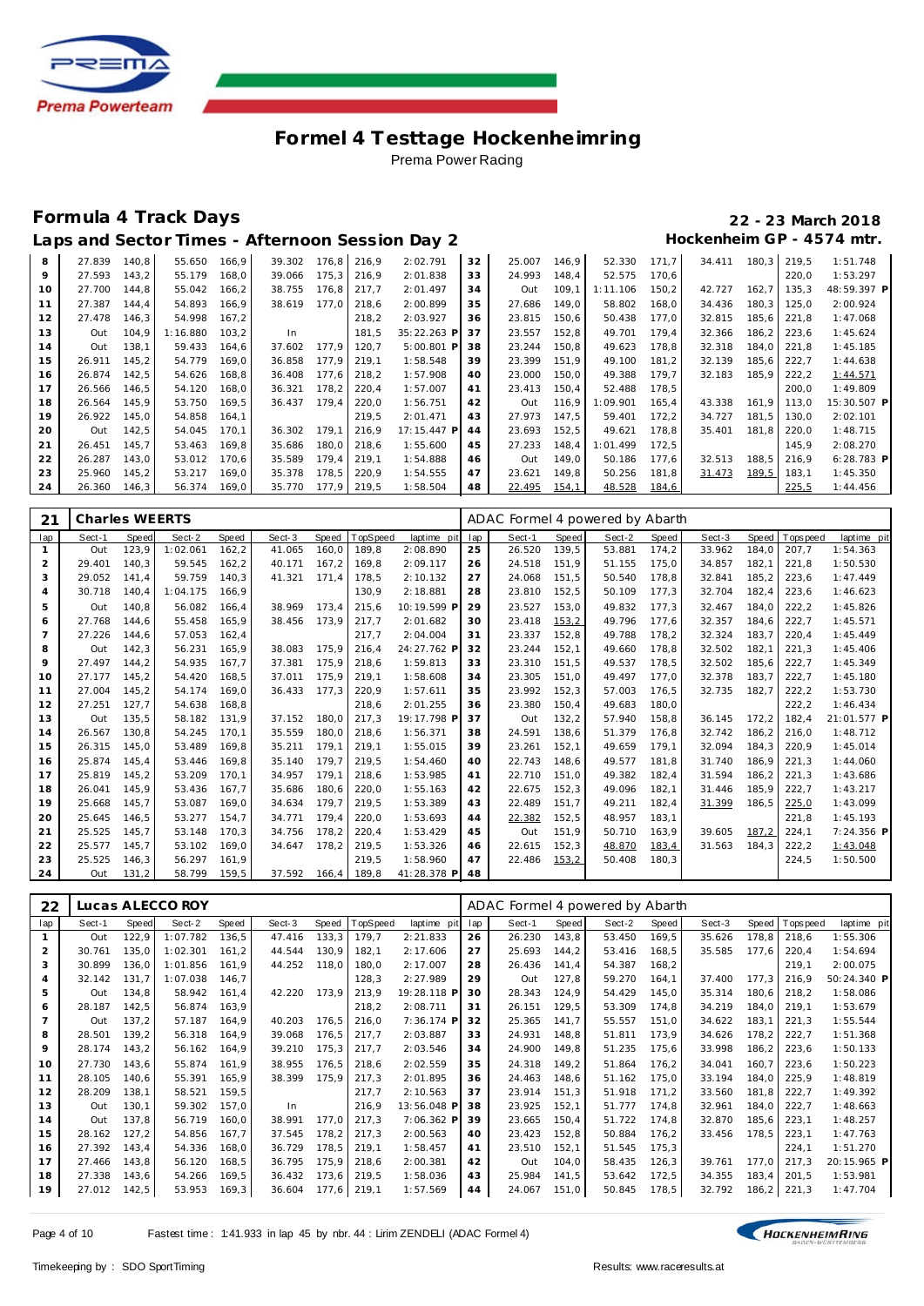

### **Formula 4 Track Days 22 - 23 March 2018**

## **Laps and Sector Times - Afternoon Session Day 2 Hockenheim GP - 4574 mtr.**

|  |  | Laps and Sector Times - Afternoon Session Day 2 |  |  |
|--|--|-------------------------------------------------|--|--|

|                 |        |       |          |       |        |       |       | aps and Sector Times - Afternoon Session Day 2. |    |        |       |          |       |        |       |       | HOCKENNEIM GP - 4574 MIL. |
|-----------------|--------|-------|----------|-------|--------|-------|-------|-------------------------------------------------|----|--------|-------|----------|-------|--------|-------|-------|---------------------------|
| 8               | 27.839 | 140.8 | 55.650   | 166.9 | 39.302 | 176,8 | 216.9 | 2:02.791                                        | 32 | 25.007 | 146.9 | 52.330   | 171.7 | 34.411 | 180,3 | 219,5 | 1:51.748                  |
| 9               | 27.593 | 143,2 | 55.179   | 168,0 | 39.066 | 175,3 | 216,9 | 2:01.838                                        | 33 | 24.993 | 148,4 | 52.575   | 170,6 |        |       | 220,0 | 1:53.297                  |
| 10 <sup>°</sup> | 27.700 | 144,8 | 55.042   | 166,2 | 38.755 | 176,8 | 217,7 | 2:01.497                                        | 34 | Out    | 109,1 | 1:11.106 | 150,2 | 42.727 | 162,7 | 135,3 | 48:59.397 F               |
| 11              | 27.387 | 144,4 | 54.893   | 166,9 | 38.619 | 177.0 | 218,6 | 2:00.899                                        | 35 | 27.686 | 149,0 | 58.802   | 168,0 | 34.436 | 180,3 | 125,0 | 2:00.924                  |
| 12              | 27.478 | 146,3 | 54.998   | 167,2 |        |       | 218,2 | 2:03.927                                        | 36 | 23.815 | 150,6 | 50.438   | 177,0 | 32.815 | 185,6 | 221,8 | 1:47.068                  |
| 13              | Out    | 104,9 | 1:16.880 | 103,2 | In     |       | 181,5 | 35:22.263 P                                     | 37 | 23.557 | 152,8 | 49.701   | 179,4 | 32.366 | 186,2 | 223,6 | 1:45.624                  |
| 14              | Out    | 138,1 | 59.433   | 164,6 | 37.602 | 177.9 | 120,7 | 5:00.801 P                                      | 38 | 23.244 | 150,8 | 49.623   | 178,8 | 32.318 | 184,0 | 221,8 | 1:45.185                  |
| 15              | 26.911 | 145,2 | 54.779   | 169,0 | 36.858 | 177.9 | 219,1 | 1:58.548                                        | 39 | 23.399 | 151,9 | 49.100   | 181,2 | 32.139 | 185,6 | 222,7 | 1:44.638                  |
| 16              | 26.874 | 142,5 | 54.626   | 168,8 | 36.408 | 177,6 | 218,2 | 1:57.908                                        | 40 | 23.000 | 150,0 | 49.388   | 179,7 | 32.183 | 185,9 | 222,2 | 1:44.571                  |
| 17              | 26.566 | 146,5 | 54.120   | 168,0 | 36.321 | 178.2 | 220,4 | 1:57.007                                        | 41 | 23.413 | 150,4 | 52.488   | 178,5 |        |       | 200,0 | 1:49.809                  |
| 18              | 26.564 | 145,9 | 53.750   | 169.5 | 36.437 | 179.4 | 220,0 | 1:56.751                                        | 42 | Out    | 116.9 | 1:09.901 | 165,4 | 43.338 | 161.9 | 113.0 | 15:30.507 F               |
| 19              | 26.922 | 145,0 | 54.858   | 164,1 |        |       | 219,5 | 2:01.471                                        | 43 | 27.973 | 147,5 | 59.401   | 172,2 | 34.727 | 181,5 | 130,0 | 2:02.101                  |
| 20              | Out    | 142,5 | 54.045   | 170,1 | 36.302 | 179,1 | 216,9 | 17:15.447 P                                     | 44 | 23.693 | 152,5 | 49.621   | 178,8 | 35.401 | 181,8 | 220,0 | 1:48.715                  |
| 21              | 26.451 | 145,7 | 53.463   | 169,8 | 35.686 | 180,0 | 218,6 | 1:55.600                                        | 45 | 27.233 | 148,4 | 1:01.499 | 172,5 |        |       | 145,9 | 2:08.270                  |
| 22              | 26.287 | 143,0 | 53.012   | 170,6 | 35.589 | 179,4 | 219,1 | 1:54.888                                        | 46 | Out    | 149,0 | 50.186   | 177,6 | 32.513 | 188,5 | 216,9 | $6:28.783$ F              |
| 23              | 25.960 | 145,2 | 53.217   | 169,0 | 35.378 | 178,5 | 220,9 | 1:54.555                                        | 47 | 23.621 | 149,8 | 50.256   | 181,8 | 31.473 | 189,5 | 183,1 | 1:45.350                  |
| 24              | 26.360 | 146,3 | 56.374   | 169,0 | 35.770 | 177,9 | 219,5 | 1:58.504                                        | 48 | 22.495 | 154,1 | 48.528   | 184,6 |        |       | 225.5 | 1:44.456                  |
|                 |        |       |          |       |        |       |       |                                                 |    |        |       |          |       |        |       |       |                           |

| 21             | Charles WEERTS |       |          |       |        |       |          |             |     | ADAC Formel 4 powered by Abarth |       |        |       |        |       |             |             |
|----------------|----------------|-------|----------|-------|--------|-------|----------|-------------|-----|---------------------------------|-------|--------|-------|--------|-------|-------------|-------------|
| lap            | Sect-1         | Speed | Sect-2   | Speed | Sect-3 | Speed | TopSpeed | laptime pit | lap | Sect-1                          | Speed | Sect-2 | Speed | Sect-3 | Speed | T ops pee d | laptime pit |
|                | Out            | 123,9 | 1:02.061 | 162.2 | 41.065 | 160.0 | 189.8    | 2:08.890    | 25  | 26.520                          | 139.5 | 53.881 | 174,2 | 33.962 | 184.0 | 207.7       | 1:54.363    |
| 2              | 29.401         | 140.3 | 59.545   | 162,2 | 40.171 | 167.2 | 169.8    | 2:09.117    | 26  | 24.518                          | 151.9 | 51.155 | 175,0 | 34.857 | 182,1 | 221.8       | 1:50.530    |
| 3              | 29.052         | 141,4 | 59.759   | 140,3 | 41.321 | 171.4 | 178,5    | 2:10.132    | 27  | 24.068                          | 151,5 | 50.540 | 178,8 | 32.841 | 185,2 | 223,6       | 1:47.449    |
| 4              | 30.718         | 140.4 | 1:04.175 | 166.9 |        |       | 130.9    | 2:18.881    | 28  | 23.810                          | 152.5 | 50.109 | 177,3 | 32.704 | 182.4 | 223.6       | 1:46.623    |
| 5              | Out            | 140.8 | 56.082   | 166.4 | 38.969 | 173.4 | 215.6    | 10:19.599 F | 29  | 23.527                          | 153.0 | 49.832 | 177.3 | 32.467 | 184.0 | 222.2       | 1:45.826    |
| 6              | 27.768         | 144.6 | 55.458   | 165.9 | 38.456 | 173.9 | 217.7    | 2:01.682    | 30  | 23.418                          | 153,2 | 49.796 | 177.6 | 32.357 | 184.6 | 222.7       | 1:45.571    |
| $\overline{7}$ | 27.226         | 144.6 | 57.053   | 162,4 |        |       | 217.7    | 2:04.004    | 31  | 23.337                          | 152,8 | 49.788 | 178,2 | 32.324 | 183.7 | 220.4       | 1:45.449    |
| 8              | Out            | 142,3 | 56.231   | 165,9 | 38.083 | 175.9 | 216,4    | 24:27.762 F | 32  | 23.244                          | 152,1 | 49.660 | 178,8 | 32.502 | 182,1 | 221.3       | 1:45.406    |
| 9              | 27.497         | 144.2 | 54.935   | 167.7 | 37.381 | 175.9 | 218.6    | 1:59.813    | 33  | 23.310                          | 151.5 | 49.537 | 178.5 | 32.502 | 185.6 | 222.7       | 1:45.349    |
| 10             | 27.177         | 145,2 | 54.420   | 168,5 | 37.011 | 175.9 | 219,1    | 1:58.608    | 34  | 23.305                          | 151,0 | 49.497 | 177,0 | 32.378 | 183.7 | 222,7       | 1:45.180    |
| 11             | 27.004         | 145.2 | 54.174   | 169.0 | 36.433 | 177.3 | 220,9    | 1:57.611    | 35  | 23.992                          | 152,3 | 57.003 | 176,5 | 32.735 | 182.7 | 222,2       | 1:53.730    |
| 12             | 27.251         | 127.7 | 54.638   | 168.8 |        |       | 218.6    | 2:01.255    | 36  | 23.380                          | 150.4 | 49.683 | 180.0 |        |       | 222.2       | 1:46.434    |
| 13             | Out            | 135.5 | 58.182   | 131.9 | 37.152 | 180.0 | 217,3    | 19:17.798 F | 37  | Out                             | 132,2 | 57.940 | 158,8 | 36.145 | 172.2 | 182.4       | 21:01.577 P |
| 14             | 26.567         | 130.8 | 54.245   | 170.1 | 35.559 | 180.0 | 218,6    | 1:56.371    | 38  | 24.591                          | 138.6 | 51.379 | 176,8 | 32.742 | 186,2 | 216.0       | 1:48.712    |
| 15             | 26.315         | 145,0 | 53.489   | 169,8 | 35.211 | 179.1 | 219,1    | 1:55.015    | 39  | 23.261                          | 152,1 | 49.659 | 179,1 | 32.094 | 184,3 | 220,9       | 1:45.014    |
| 16             | 25.874         | 145.4 | 53.446   | 169.8 | 35.140 | 179.7 | 219,5    | 1:54.460    | 40  | 22.743                          | 148,6 | 49.577 | 181,8 | 31.740 | 186.9 | 221.3       | 1:44.060    |
| 17             | 25.819         | 145.2 | 53.209   | 170.1 | 34.957 | 179.1 | 218,6    | 1:53.985    | 41  | 22.710                          | 151.0 | 49.382 | 182,4 | 31.594 | 186,2 | 221.3       | 1:43.686    |
| 18             | 26.041         | 145.9 | 53.436   | 167.7 | 35.686 | 180.6 | 220,0    | 1:55.163    | 42  | 22.675                          | 152,3 | 49.096 | 182.1 | 31.446 | 185.9 | 222,7       | 1:43.217    |
| 19             | 25.668         | 145.7 | 53.087   | 169.0 | 34.634 | 179.7 | 219,5    | 1:53.389    | 43  | 22.489                          | 151,7 | 49.211 | 182,4 | 31.399 | 186,5 | 225,0       | 1:43.099    |
| 20             | 25.645         | 146.5 | 53.277   | 154.7 | 34.771 | 179.4 | 220.0    | 1:53.693    | 44  | 22.382                          | 152,5 | 48.957 | 183.1 |        |       | 221.8       | 1:45.193    |
| 21             | 25.525         | 145.7 | 53.148   | 170.3 | 34.756 | 178.2 | 220,4    | 1:53.429    | 45  | Out                             | 151.9 | 50.710 | 163,9 | 39.605 | 187,2 | 224.1       | 7:24.356 P  |
| 22             | 25.577         | 145,7 | 53.102   | 169,0 | 34.647 | 178.2 | 219,5    | 1:53.326    | 46  | 22.615                          | 152,3 | 48.870 | 183,4 | 31.563 | 184,3 | 222,2       | 1:43.048    |
| 23             | 25.525         | 146,3 | 56.297   | 161,9 |        |       | 219,5    | 1:58.960    | 47  | 22.486                          | 153,2 | 50.408 | 180,3 |        |       | 224,5       | 1:50.500    |
| 24             | Out            | 131,2 | 58.799   | 159.5 | 37.592 | 166.4 | 189.8    | 41:28.378 P | 48  |                                 |       |        |       |        |       |             |             |

| 22             |        |       | Lucas ALECCO ROY |       |        |       |          |             |     | ADAC Formel 4 powered by Abarth |       |        |       |        |        |             |             |
|----------------|--------|-------|------------------|-------|--------|-------|----------|-------------|-----|---------------------------------|-------|--------|-------|--------|--------|-------------|-------------|
| lap            | Sect-1 | Speed | Sect-2           | Speed | Sect-3 | Speed | TopSpeed | laptime pit | lap | Sect-1                          | Speed | Sect-2 | Speed | Sect-3 | Speed  | T ops pee d | laptime pit |
|                | Out    | 122,9 | 1:07.782         | 136,5 | 47.416 | 133,3 | 179,7    | 2:21.833    | 26  | 26.230                          | 143,8 | 53.450 | 169,5 | 35.626 | 178,8  | 218,6       | 1:55.306    |
| $\overline{2}$ | 30.761 | 135.0 | 1:02.301         | 161.2 | 44.544 | 130,9 | 182,1    | 2:17.606    | 27  | 25.693                          | 144,2 | 53.416 | 168,5 | 35.585 | 177.6  | 220,4       | 1:54.694    |
| 3              | 30.899 | 136,0 | 1:01.856         | 161,9 | 44.252 | 118,0 | 180,0    | 2:17.007    | 28  | 26.436                          | 141,4 | 54.387 | 168,2 |        |        | 219,1       | 2:00.075    |
| 4              | 32.142 | 131,7 | 1:07.038         | 146,7 |        |       | 128,3    | 2:27.989    | 29  | Out                             | 127,8 | 59.270 | 164,1 | 37.400 | 177,3  | 216,9       | 50:24.340 P |
| 5              | Out    | 134.8 | 58.942           | 161,4 | 42.220 | 173,9 | 213,9    | 19:28.118 P | 30  | 28.343                          | 124,9 | 54.429 | 145,0 | 35.314 | 180,6  | 218.2       | 1:58.086    |
| 6              | 28.187 | 142,5 | 56.874           | 163,9 |        |       | 218,2    | 2:08.711    | 31  | 26.151                          | 129,5 | 53.309 | 174,8 | 34.219 | 184,0  | 219.1       | 1:53.679    |
| $\overline{7}$ | Out    | 137,2 | 57.187           | 164,9 | 40.203 | 176,5 | 216,0    | 7:36.174 P  | 32  | 25.365                          | 141,7 | 55.557 | 151,0 | 34.622 | 183,1  | 221,3       | 1:55.544    |
| 8              | 28.501 | 139.2 | 56.318           | 164,9 | 39.068 | 176,5 | 217,7    | 2:03.887    | 33  | 24.931                          | 148,8 | 51.811 | 173,9 | 34.626 | 178,2  | 222,7       | 1:51.368    |
| 9              | 28.174 | 143,2 | 56.162           | 164,9 | 39.210 | 175,3 | 217,7    | 2:03.546    | 34  | 24.900                          | 149,8 | 51.235 | 175,6 | 33.998 | 186,2  | 223,6       | 1:50.133    |
| 10             | 27.730 | 143.6 | 55.874           | 161.9 | 38.955 | 176,5 | 218,6    | 2:02.559    | 35  | 24.318                          | 149.2 | 51.864 | 176.2 | 34.041 | 160.7  | 223,6       | 1:50.223    |
| 11             | 28.105 | 140,6 | 55.391           | 165,9 | 38.399 | 175,9 | 217,3    | 2:01.895    | 36  | 24.463                          | 148,6 | 51.162 | 175,0 | 33.194 | 184,0  | 225,9       | 1:48.819    |
| 12             | 28.209 | 138,1 | 58.521           | 159,5 |        |       | 217,7    | 2:10.563    | 37  | 23.914                          | 151,3 | 51.918 | 171,2 | 33.560 | 181,8  | 222,7       | 1:49.392    |
| 13             | Out    | 130,1 | 59.302           | 157,0 | In     |       | 216,9    | 13:56.048 P | 38  | 23.925                          | 152,1 | 51.777 | 174,8 | 32.961 | 184,0  | 222,7       | 1:48.663    |
| 14             | Out    | 137.8 | 56.719           | 160,0 | 38.991 | 177,0 | 217,3    | 7:06.362 P  | 39  | 23.665                          | 150,4 | 51.722 | 174,8 | 32.870 | 185,6  | 223,1       | 1:48.257    |
| 15             | 28.162 | 127,2 | 54.856           | 167.7 | 37.545 | 178,2 | 217,3    | 2:00.563    | 40  | 23.423                          | 152,8 | 50.884 | 176,2 | 33.456 | 178,5  | 223,1       | 1:47.763    |
| 16             | 27.392 | 143.4 | 54.336           | 168.0 | 36.729 | 178,5 | 219,1    | 1:58.457    | 41  | 23.510                          | 152,1 | 51.545 | 175,3 |        |        | 224,1       | 1:51.270    |
| 17             | 27.466 | 143,8 | 56.120           | 168,5 | 36.795 | 175,9 | 218,6    | 2:00.381    | 42  | Out                             | 104,0 | 58.435 | 126,3 | 39.761 | 177,0  | 217,3       | 20:15.965 P |
| 18             | 27.338 | 143,6 | 54.266           | 169,5 | 36.432 | 173,6 | 219,5    | 1:58.036    | 43  | 25.984                          | 141,5 | 53.642 | 172,5 | 34.355 | 183,4  | 201,5       | 1:53.981    |
| 19             | 27.012 | 142,5 | 53.953           | 169,3 | 36.604 | 177,6 | 219,1    | 1:57.569    | 44  | 24.067                          | 151,0 | 50.845 | 178,5 | 32.792 | 186, 2 | 221,3       | 1:47.704    |

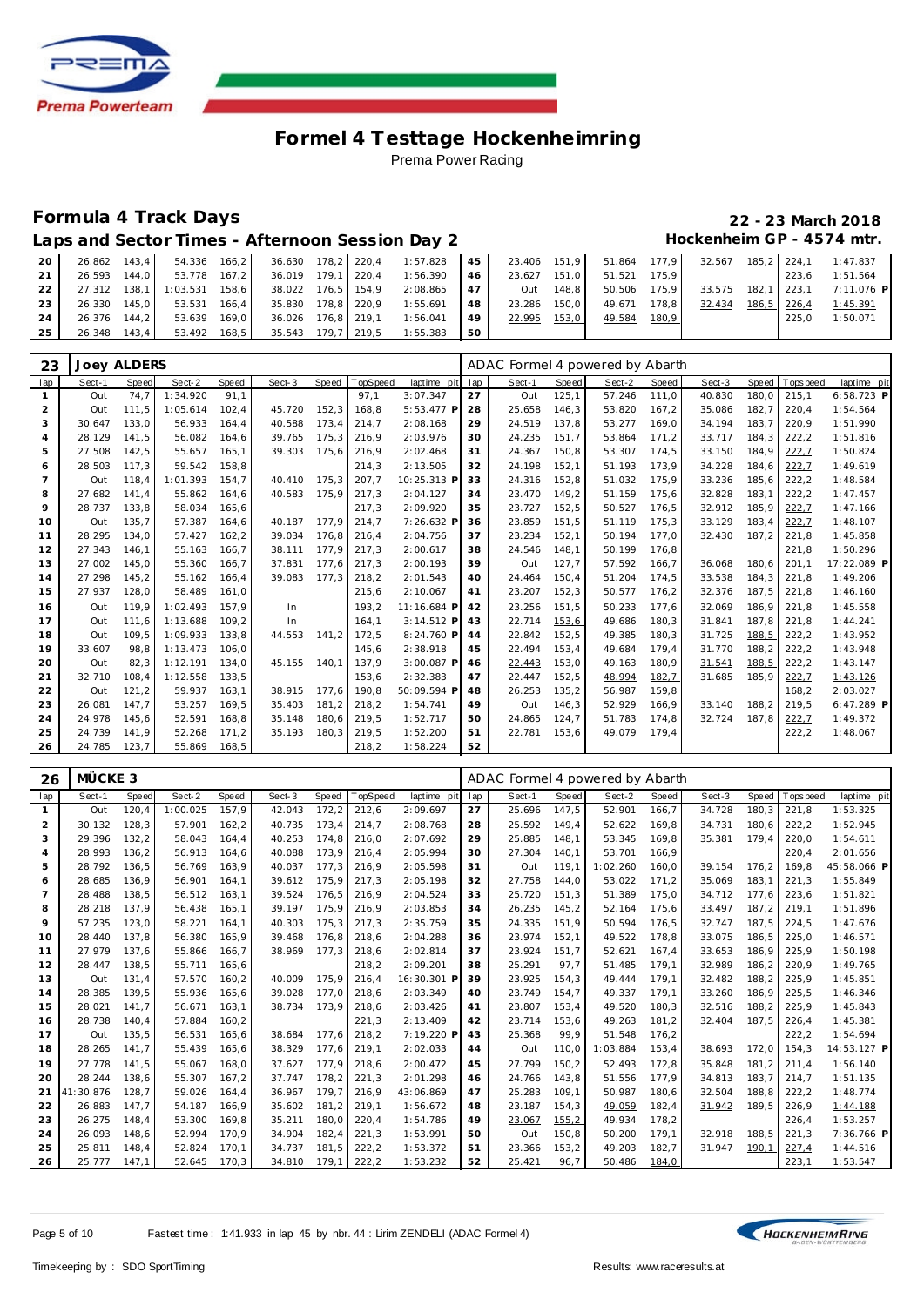

### **Formula 4 Track Days 22 - 23 March 2018**

Laps and Sector Times - Afternoon Session Day 2 **Hockenheim GP** - 4574 mtr.

| 20 |              |                           |  |  | 26.862 143.4 54.336 166.2 36.630 178.2 220.4 1:57.828 45 23.406 151.9 51.864 177.9 32.567 185.2 224.1 1:47.837 |    |              |              |                    |       |                                                                                                                 |
|----|--------------|---------------------------|--|--|----------------------------------------------------------------------------------------------------------------|----|--------------|--------------|--------------------|-------|-----------------------------------------------------------------------------------------------------------------|
| 21 |              | 26.593 144.0 53.778 167.2 |  |  | 36.019 179,1 220,4 1:56.390 46 23.627 151,0 51.521 175,9                                                       |    |              |              |                    | 223.6 | 1:51.564                                                                                                        |
| 22 |              |                           |  |  |                                                                                                                |    |              |              |                    |       | 27.312 138,1 1:03.531 158,6 38.022 176,5 154,9 2:08.865 47 0ut 148,8 50.506 175,9 33.575 182,1 223,1 7:11.076 P |
| 23 | 26.330 145.0 | 53.531 166.4              |  |  | 35.830 178.8 220.9 1:55.691 48                                                                                 |    | 23.286 150,0 | 49.671 178.8 | 32.434 186.5 226.4 |       | 1:45.391                                                                                                        |
| 24 | 26.376 144.2 | 53.639 169.0              |  |  | 36.026 176,8 219,1 1:56.041 49 22.995 153,0                                                                    |    |              | 49.584 180,9 |                    | 225.0 | 1:50.071                                                                                                        |
| 25 | 26.348 143.4 | 53.492 168,5              |  |  | 35.543 179.7 219.5 1:55.383                                                                                    | 50 |              |              |                    |       |                                                                                                                 |

| 23             | <b>Joey ALDERS</b> |       |          |        |        |       |          |              |     | ADAC Formel 4 powered by Abarth |       |        |        |        |       |            |              |
|----------------|--------------------|-------|----------|--------|--------|-------|----------|--------------|-----|---------------------------------|-------|--------|--------|--------|-------|------------|--------------|
| lap            | Sect-1             | Speed | Sect-2   | Speed  | Sect-3 | Speed | TopSpeed | laptime pit  | lap | Sect-1                          | Speed | Sect-2 | Speed  | Sect-3 | Speed | T ops peed | laptime pit  |
|                | Out                | 74.7  | 1:34.920 | 91.1   |        |       | 97,1     | 3:07.347     | 27  | Out                             | 125,1 | 57.246 | 111,0  | 40.830 | 180.0 | 215,1      | $6:58.723$ P |
| $\overline{a}$ | Out                | 111.5 | 1:05.614 | 102,4  | 45.720 | 152,3 | 168,8    | 5:53.477 P   | 28  | 25.658                          | 146,3 | 53.820 | 167,2  | 35.086 | 182,7 | 220,4      | 1:54.564     |
| 3              | 30.647             | 133.0 | 56.933   | 164.4  | 40.588 | 173.4 | 214.7    | 2:08.168     | 29  | 24.519                          | 137.8 | 53.277 | 169.0  | 34.194 | 183.7 | 220.9      | 1:51.990     |
| $\overline{4}$ | 28.129             | 141.5 | 56.082   | 164.6  | 39.765 | 175.3 | 216,9    | 2:03.976     | 30  | 24.235                          | 151,7 | 53.864 | 171, 2 | 33.717 | 184.3 | 222,2      | 1:51.816     |
| 5              | 27.508             | 142,5 | 55.657   | 165, 1 | 39.303 | 175,6 | 216,9    | 2:02.468     | 31  | 24.367                          | 150,8 | 53.307 | 174,5  | 33.150 | 184,9 | 222,7      | 1:50.824     |
| 6              | 28.503             | 117.3 | 59.542   | 158,8  |        |       | 214,3    | 2:13.505     | 32  | 24.198                          | 152,1 | 51.193 | 173,9  | 34.228 | 184,6 | 222,7      | 1:49.619     |
| $\overline{7}$ | Out                | 118.4 | 1:01.393 | 154.7  | 40.410 | 175.3 | 207.7    | 10:25.313 F  | 33  | 24.316                          | 152.8 | 51.032 | 175.9  | 33.236 | 185.6 | 222.2      | 1:48.584     |
| 8              | 27.682             | 141.4 | 55.862   | 164,6  | 40.583 | 175.9 | 217,3    | 2:04.127     | 34  | 23.470                          | 149,2 | 51.159 | 175,6  | 32.828 | 183,1 | 222,2      | 1:47.457     |
| 9              | 28.737             | 133.8 | 58.034   | 165,6  |        |       | 217,3    | 2:09.920     | 35  | 23.727                          | 152,5 | 50.527 | 176,5  | 32.912 | 185,9 | 222,7      | 1:47.166     |
| 10             | Out                | 135.7 | 57.387   | 164.6  | 40.187 | 177.9 | 214.7    | 7:26.632 F   | 36  | 23.859                          | 151.5 | 51.119 | 175.3  | 33.129 | 183.4 | 222,7      | 1:48.107     |
| 11             | 28.295             | 134,0 | 57.427   | 162,2  | 39.034 | 176,8 | 216,4    | 2:04.756     | 37  | 23.234                          | 152,1 | 50.194 | 177,0  | 32.430 | 187,2 | 221,8      | 1:45.858     |
| 12             | 27.343             | 146,1 | 55.163   | 166.7  | 38.111 | 177,9 | 217,3    | 2:00.617     | 38  | 24.546                          | 148,1 | 50.199 | 176,8  |        |       | 221,8      | 1:50.296     |
| 13             | 27.002             | 145.0 | 55.360   | 166.7  | 37.831 | 177.6 | 217.3    | 2:00.193     | 39  | Out                             | 127.7 | 57.592 | 166.7  | 36.068 | 180.6 | 201.1      | 17:22.089 P  |
| 14             | 27.298             | 145,2 | 55.162   | 166,4  | 39.083 | 177,3 | 218,2    | 2:01.543     | 40  | 24.464                          | 150,4 | 51.204 | 174,5  | 33.538 | 184,3 | 221,8      | 1:49.206     |
| 15             | 27.937             | 128.0 | 58.489   | 161.0  |        |       | 215.6    | 2:10.067     | 41  | 23.207                          | 152,3 | 50.577 | 176,2  | 32.376 | 187.5 | 221.8      | 1:46.160     |
| 16             | Out                | 119.9 | 1:02.493 | 157,9  | In     |       | 193,2    | 11:16.684 F  | 42  | 23.256                          | 151,5 | 50.233 | 177,6  | 32.069 | 186,9 | 221,8      | 1:45.558     |
| 17             | Out                | 111.6 | 1:13.688 | 109.2  | In     |       | 164.1    | $3:14.512$ P | 43  | 22.714                          | 153,6 | 49.686 | 180,3  | 31.841 | 187.8 | 221.8      | 1:44.241     |
| 18             | Out                | 109,5 | 1:09.933 | 133,8  | 44.553 | 141.2 | 172,5    | 8:24.760 P   | 44  | 22.842                          | 152,5 | 49.385 | 180,3  | 31.725 | 188,5 | 222,2      | 1:43.952     |
| 19             | 33.607             | 98.8  | 1:13.473 | 106.0  |        |       | 145.6    | 2:38.918     | 45  | 22.494                          | 153.4 | 49.684 | 179.4  | 31.770 | 188.2 | 222,2      | 1:43.948     |
| 20             | Out                | 82.3  | 1:12.191 | 134.0  | 45.155 | 140.1 | 137.9    | $3:00.087$ P | 46  | 22.443                          | 153.0 | 49.163 | 180,9  | 31.541 | 188,5 | 222,2      | 1:43.147     |
| 21             | 32.710             | 108,4 | 1:12.558 | 133,5  |        |       | 153,6    | 2:32.383     | 47  | 22.447                          | 152,5 | 48.994 | 182,7  | 31.685 | 185,9 | 222,7      | 1:43.126     |
| 22             | Out                | 121.2 | 59.937   | 163.1  | 38.915 | 177.6 | 190.8    | 50:09.594 F  | 48  | 26.253                          | 135,2 | 56.987 | 159.8  |        |       | 168.2      | 2:03.027     |
| 23             | 26.081             | 147.7 | 53.257   | 169.5  | 35.403 | 181,2 | 218,2    | 1:54.741     | 49  | Out                             | 146,3 | 52.929 | 166,9  | 33.140 | 188.2 | 219.5      | 6:47.289 P   |
| 24             | 24.978             | 145,6 | 52.591   | 168,8  | 35.148 | 180,6 | 219,5    | 1:52.717     | 50  | 24.865                          | 124,7 | 51.783 | 174,8  | 32.724 | 187,8 | 222,7      | 1:49.372     |
| 25             | 24.739             | 141.9 | 52.268   | 171,2  | 35.193 | 180.3 | 219,5    | 1:52.200     | 51  | 22.781                          | 153,6 | 49.079 | 179.4  |        |       | 222,2      | 1:48.067     |
| 26             | 24.785             | 123,7 | 55.869   | 168,5  |        |       | 218,2    | 1:58.224     | 52  |                                 |       |        |        |        |       |            |              |

| 26             | MÜCKE 3   |       |          |              |        |       |                 |             |     | ADAC Formel 4 powered by Abarth |       |          |       |        |       |            |             |
|----------------|-----------|-------|----------|--------------|--------|-------|-----------------|-------------|-----|---------------------------------|-------|----------|-------|--------|-------|------------|-------------|
| lap            | Sect-1    | Speed | Sect-2   | <b>Speed</b> | Sect-3 | Speed | <b>TopSpeed</b> | laptime pit | lap | Sect-1                          | Speed | Sect-2   | Speed | Sect-3 | Speed | T ops peed | laptime pit |
| $\mathbf{1}$   | Out       | 120.4 | 1:00.025 | 157.9        | 42.043 | 172.2 | 212,6           | 2:09.697    | 27  | 25.696                          | 147.5 | 52.901   | 166,7 | 34.728 | 180.3 | 221.8      | 1:53.325    |
| 2              | 30.132    | 128.3 | 57.901   | 162,2        | 40.735 | 173.4 | 214.7           | 2:08.768    | 28  | 25.592                          | 149.4 | 52.622   | 169,8 | 34.731 | 180.6 | 222,2      | 1:52.945    |
| 3              | 29.396    | 132,2 | 58.043   | 164,4        | 40.253 | 174.8 | 216,0           | 2:07.692    | 29  | 25.885                          | 148,1 | 53.345   | 169,8 | 35.381 | 179.4 | 220,0      | 1:54.611    |
| $\overline{4}$ | 28.993    | 136.2 | 56.913   | 164.6        | 40.088 | 173.9 | 216,4           | 2:05.994    | 30  | 27.304                          | 140.1 | 53.701   | 166.9 |        |       | 220,4      | 2:01.656    |
| 5              | 28.792    | 136.5 | 56.769   | 163.9        | 40.037 | 177,3 | 216.9           | 2:05.598    | 31  | Out                             | 119.1 | 1:02.260 | 160,0 | 39.154 | 176.2 | 169.8      | 45:58.066 P |
| 6              | 28.685    | 136,9 | 56.901   | 164.1        | 39.612 | 175.9 | 217,3           | 2:05.198    | 32  | 27.758                          | 144,0 | 53.022   | 171,2 | 35.069 | 183,1 | 221,3      | 1:55.849    |
| $\overline{7}$ | 28.488    | 138.5 | 56.512   | 163,1        | 39.524 | 176,5 | 216,9           | 2:04.524    | 33  | 25.720                          | 151,3 | 51.389   | 175,0 | 34.712 | 177.6 | 223,6      | 1:51.821    |
| 8              | 28.218    | 137.9 | 56.438   | 165.1        | 39.197 | 175,9 | 216,9           | 2:03.853    | 34  | 26.235                          | 145,2 | 52.164   | 175,6 | 33.497 | 187,2 | 219,1      | 1:51.896    |
| 9              | 57.235    | 123,0 | 58.221   | 164,1        | 40.303 | 175,3 | 217,3           | 2:35.759    | 35  | 24.335                          | 151,9 | 50.594   | 176,5 | 32.747 | 187,5 | 224,5      | 1:47.676    |
| 10             | 28.440    | 137.8 | 56.380   | 165.9        | 39.468 | 176.8 | 218.6           | 2:04.288    | 36  | 23.974                          | 152.1 | 49.522   | 178.8 | 33.075 | 186.5 | 225.0      | 1:46.571    |
| 11             | 27.979    | 137.6 | 55.866   | 166.7        | 38.969 | 177.3 | 218,6           | 2:02.814    | 37  | 23.924                          | 151.7 | 52.621   | 167.4 | 33.653 | 186.9 | 225.9      | 1:50.198    |
| 12             | 28.447    | 138.5 | 55.711   | 165,6        |        |       | 218,2           | 2:09.201    | 38  | 25.291                          | 97.7  | 51.485   | 179,1 | 32.989 | 186,2 | 220,9      | 1:49.765    |
| 13             | Out       | 131.4 | 57.570   | 160,2        | 40.009 | 175.9 | 216,4           | 16:30.301 F | 39  | 23.925                          | 154,3 | 49.444   | 179,1 | 32.482 | 188.2 | 225.9      | 1:45.851    |
| 14             | 28.385    | 139.5 | 55.936   | 165.6        | 39.028 | 177.0 | 218.6           | 2:03.349    | 40  | 23.749                          | 154.7 | 49.337   | 179.1 | 33.260 | 186.9 | 225.5      | 1:46.346    |
| 15             | 28.021    | 141.7 | 56.671   | 163,1        | 38.734 | 173.9 | 218,6           | 2:03.426    | 41  | 23.807                          | 153,4 | 49.520   | 180,3 | 32.516 | 188,2 | 225,9      | 1:45.843    |
| 16             | 28.738    | 140.4 | 57.884   | 160,2        |        |       | 221,3           | 2:13.409    | 42  | 23.714                          | 153,6 | 49.263   | 181,2 | 32.404 | 187,5 | 226,4      | 1:45.381    |
| 17             | Out       | 135.5 | 56.531   | 165,6        | 38.684 | 177,6 | 218,2           | 7:19.220 P  | 43  | 25.368                          | 99.9  | 51.548   | 176,2 |        |       | 222,2      | 1:54.694    |
| 18             | 28.265    | 141.7 | 55.439   | 165,6        | 38.329 | 177.6 | 219,1           | 2:02.033    | 44  | Out                             | 110,0 | 1:03.884 | 153,4 | 38.693 | 172,0 | 154,3      | 14:53.127 P |
| 19             | 27.778    | 141.5 | 55.067   | 168,0        | 37.627 | 177.9 | 218,6           | 2:00.472    | 45  | 27.799                          | 150,2 | 52.493   | 172,8 | 35.848 | 181,2 | 211,4      | 1:56.140    |
| 20             | 28.244    | 138.6 | 55.307   | 167,2        | 37.747 | 178.2 | 221,3           | 2:01.298    | 46  | 24.766                          | 143,8 | 51.556   | 177,9 | 34.813 | 183,7 | 214,7      | 1:51.135    |
| 21             | 41:30.876 | 128.7 | 59.026   | 164.4        | 36.967 | 179.7 | 216,9           | 43:06.869   | 47  | 25.283                          | 109.1 | 50.987   | 180,6 | 32.504 | 188,8 | 222,2      | 1:48.774    |
| 22             | 26.883    | 147.7 | 54.187   | 166.9        | 35.602 | 181.2 | 219,1           | 1:56.672    | 48  | 23.187                          | 154.3 | 49.059   | 182,4 | 31.942 | 189,5 | 226.9      | 1:44.188    |
| 23             | 26.275    | 148.4 | 53.300   | 169.8        | 35.211 | 180.0 | 220,4           | 1:54.786    | 49  | 23.067                          | 155,2 | 49.934   | 178,2 |        |       | 226.4      | 1:53.257    |
| 24             | 26.093    | 148.6 | 52.994   | 170,9        | 34.904 | 182,4 | 221,3           | 1:53.991    | 50  | Out                             | 150,8 | 50.200   | 179,1 | 32.918 | 188,5 | 221,3      | 7:36.766 P  |
| 25             | 25.811    | 148.4 | 52.824   | 170.1        | 34.737 | 181.5 | 222,2           | 1:53.372    | 51  | 23.366                          | 153,2 | 49.203   | 182,7 | 31.947 | 190,1 | 227,4      | 1:44.516    |
| 26             | 25.777    | 147.1 | 52.645   | 170.3        | 34.810 | 179.1 | 222,2           | 1:53.232    | 52  | 25.421                          | 96.7  | 50.486   | 184,0 |        |       | 223,1      | 1:53.547    |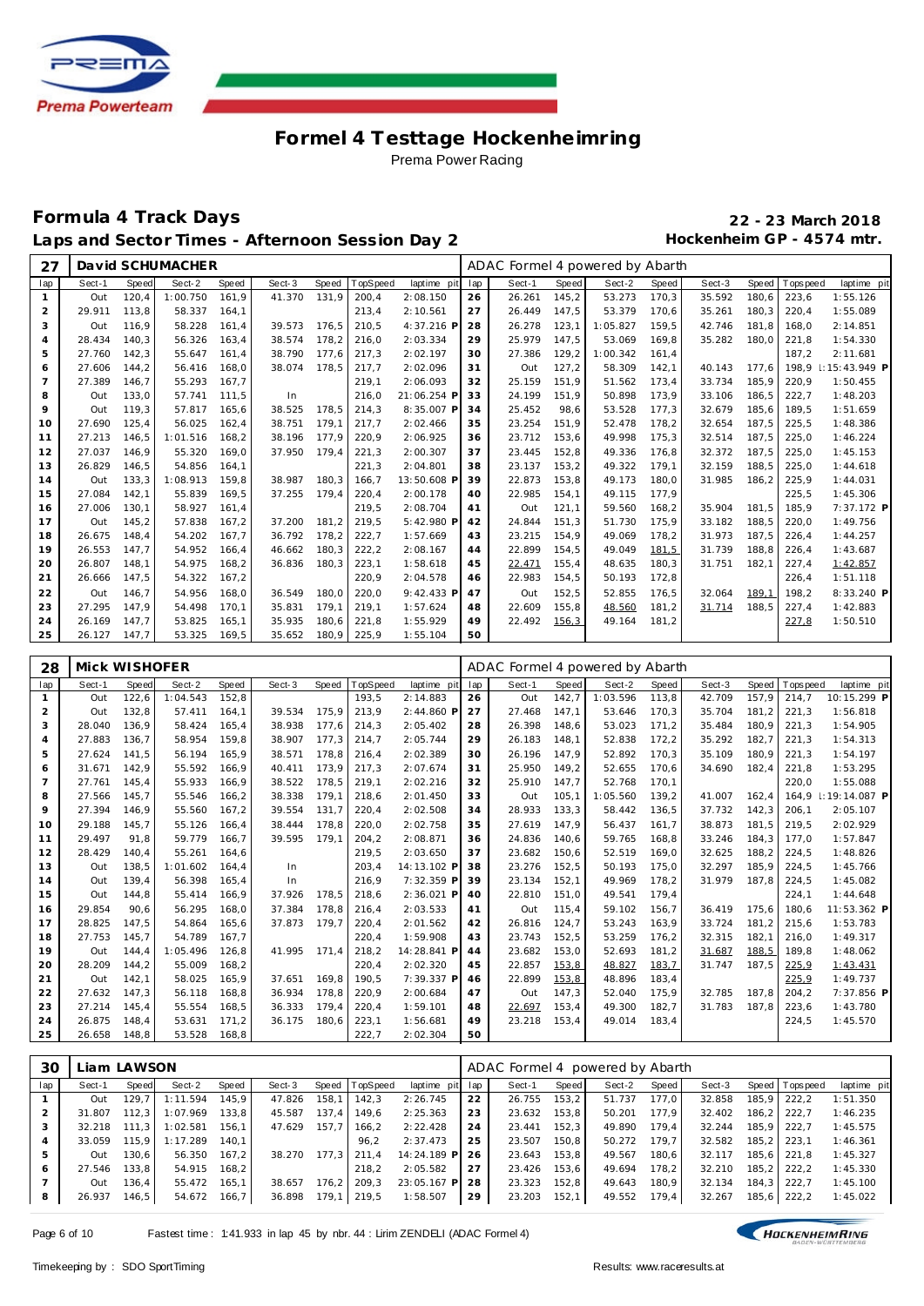

#### **Formula 4 Track Days 22 - 23 March 2018** Laps and Sector Times - Afternoon Session Day 2 **Hockenheim GP** - 4574 mtr.

| 27             |               |       | David SCHUMACHER |       |        |       |          |             |     | ADAC Formel 4 powered by Abarth |       |          |       |        |       |            |                            |
|----------------|---------------|-------|------------------|-------|--------|-------|----------|-------------|-----|---------------------------------|-------|----------|-------|--------|-------|------------|----------------------------|
| lap            | Sect-1        | Speed | Sect-2           | Speed | Sect-3 | Speed | TopSpeed | laptime pit | lap | Sect-1                          | Speed | Sect-2   | Speed | Sect-3 | Speed | T ops peed | laptime pit                |
| $\mathbf{1}$   | Out           | 120.4 | 1:00.750         | 161.9 | 41.370 | 131.9 | 200.4    | 2:08.150    | 26  | 26.261                          | 145.2 | 53.273   | 170,3 | 35.592 | 180.6 | 223.6      | 1:55.126                   |
| $\overline{a}$ | 29.911        | 113,8 | 58.337           | 164,1 |        |       | 213,4    | 2:10.561    | 27  | 26.449                          | 147,5 | 53.379   | 170,6 | 35.261 | 180.3 | 220,4      | 1:55.089                   |
| 3              | Out           | 116.9 | 58.228           | 161,4 | 39.573 | 176.5 | 210,5    | 4:37.216 F  | 28  | 26.278                          | 123,1 | 1:05.827 | 159,5 | 42.746 | 181.8 | 168.0      | 2:14.851                   |
| 4              | 28.434        | 140.3 | 56.326           | 163.4 | 38.574 | 178.2 | 216,0    | 2:03.334    | 29  | 25.979                          | 147.5 | 53.069   | 169,8 | 35.282 | 180.0 | 221,8      | 1:54.330                   |
| 5              | 27.760        | 142,3 | 55.647           | 161,4 | 38.790 | 177.6 | 217,3    | 2:02.197    | 30  | 27.386                          | 129,2 | 1:00.342 | 161,4 |        |       | 187.2      | 2:11.681                   |
| 6              | 27.606        | 144,2 | 56.416           | 168,0 | 38.074 | 178.5 | 217,7    | 2:02.096    | 31  | Out                             | 127,2 | 58.309   | 142,1 | 40.143 | 177.6 | 198.9      | $\parallel$ : 15: 43.949 P |
| $\overline{7}$ | 27.389        | 146,7 | 55.293           | 167.7 |        |       | 219,1    | 2:06.093    | 32  | 25.159                          | 151.9 | 51.562   | 173,4 | 33.734 | 185,9 | 220,9      | 1:50.455                   |
| 8              | Out           | 133.0 | 57.741           | 111.5 | In     |       | 216.0    | 21:06.254 F | 33  | 24.199                          | 151.9 | 50.898   | 173.9 | 33.106 | 186.5 | 222.7      | 1:48.203                   |
| 9              | Out           | 119.3 | 57.817           | 165,6 | 38.525 | 178,5 | 214,3    | 8:35.007 P  | 34  | 25.452                          | 98,6  | 53.528   | 177,3 | 32.679 | 185,6 | 189.5      | 1:51.659                   |
| 10             | 27.690        | 125,4 | 56.025           | 162,4 | 38.751 | 179.1 | 217,7    | 2:02.466    | 35  | 23.254                          | 151,9 | 52.478   | 178,2 | 32.654 | 187,5 | 225,5      | 1:48.386                   |
| 11             | 27.213        | 146,5 | 1:01.516         | 168,2 | 38.196 | 177.9 | 220,9    | 2:06.925    | 36  | 23.712                          | 153,6 | 49.998   | 175,3 | 32.514 | 187,5 | 225,0      | 1:46.224                   |
| 12             | 27.037        | 146.9 | 55.320           | 169.0 | 37.950 | 179.4 | 221,3    | 2:00.307    | 37  | 23.445                          | 152,8 | 49.336   | 176,8 | 32.372 | 187.5 | 225.0      | 1:45.153                   |
| 13             | 26.829        | 146.5 | 54.856           | 164.1 |        |       | 221,3    | 2:04.801    | 38  | 23.137                          | 153.2 | 49.322   | 179,1 | 32.159 | 188.5 | 225.0      | 1:44.618                   |
| 14             | Out           | 133,3 | 1:08.913         | 159,8 | 38.987 | 180.3 | 166,7    | 13:50.608 F | 39  | 22.873                          | 153,8 | 49.173   | 180,0 | 31.985 | 186.2 | 225,9      | 1:44.031                   |
| 15             | 27.084        | 142,1 | 55.839           | 169,5 | 37.255 | 179.4 | 220,4    | 2:00.178    | 40  | 22.985                          | 154,1 | 49.115   | 177,9 |        |       | 225,5      | 1:45.306                   |
| 16             | 27.006        | 130.1 | 58.927           | 161.4 |        |       | 219.5    | 2:08.704    | 41  | Out                             | 121,1 | 59.560   | 168,2 | 35.904 | 181.5 | 185.9      | 7:37.172 P                 |
| 17             | Out           | 145,2 | 57.838           | 167,2 | 37.200 | 181.2 | 219,5    | 5:42.980 F  | 42  | 24.844                          | 151,3 | 51.730   | 175,9 | 33.182 | 188,5 | 220,0      | 1:49.756                   |
| 18             | 26.675        | 148,4 | 54.202           | 167,7 | 36.792 | 178,2 | 222,7    | 1:57.669    | 43  | 23.215                          | 154,9 | 49.069   | 178,2 | 31.973 | 187,5 | 226,4      | 1:44.257                   |
| 19             | 26.553        | 147.7 | 54.952           | 166,4 | 46.662 | 180,3 | 222,2    | 2:08.167    | 44  | 22.899                          | 154,5 | 49.049   | 181,5 | 31.739 | 188.8 | 226,4      | 1:43.687                   |
| 20             | 26.807        | 148.1 | 54.975           | 168.2 | 36.836 | 180.3 | 223,1    | 1:58.618    | 45  | 22.471                          | 155.4 | 48.635   | 180,3 | 31.751 | 182.1 | 227.4      | 1:42.857                   |
| 21             | 26.666        | 147,5 | 54.322           | 167,2 |        |       | 220,9    | 2:04.578    | 46  | 22.983                          | 154,5 | 50.193   | 172,8 |        |       | 226,4      | 1:51.118                   |
| 22             | Out           | 146,7 | 54.956           | 168,0 | 36.549 | 180,0 | 220,0    | 9:42.433 F  | 47  | Out                             | 152,5 | 52.855   | 176,5 | 32.064 | 189,1 | 198,2      | 8:33.240 P                 |
| 23             | 27.295        | 147.9 | 54.498           | 170.1 | 35.831 | 179,1 | 219,1    | 1:57.624    | 48  | 22.609                          | 155,8 | 48.560   | 181,2 | 31.714 | 188,5 | 227,4      | 1:42.883                   |
| 24             | 26.169        | 147.7 | 53.825           | 165.1 | 35.935 | 180.6 | 221,8    | 1:55.929    | 49  | 22.492                          | 156,3 | 49.164   | 181,2 |        |       | 227,8      | 1:50.510                   |
| 25             | 26.127        | 147,7 | 53.325           | 169,5 | 35.652 | 180,9 | 225,9    | 1:55.104    | 50  |                                 |       |          |       |        |       |            |                            |
|                |               |       |                  |       |        |       |          |             |     |                                 |       |          |       |        |       |            |                            |
| 28             | Mick WISHOFER |       |                  |       |        |       |          |             |     | ADAC Formel 4 powered by Abarth |       |          |       |        |       |            |                            |

| 28             | <b><i>IVIICK VVISHUFER</i></b> |       |          |       |        |       |          |             |     | ADAC FORMER 4 DOWERED BY ADDRIN |       |          |       |        |       |            |                 |
|----------------|--------------------------------|-------|----------|-------|--------|-------|----------|-------------|-----|---------------------------------|-------|----------|-------|--------|-------|------------|-----------------|
| lap            | Sect-1                         | Speed | Sect-2   | Speed | Sect-3 | Speed | TopSpeed | laptime pit | lap | Sect-1                          | Speed | Sect-2   | Speed | Sect-3 | Speed | T ops peed | laptime pit     |
|                | Out                            | 122,6 | 1:04.543 | 152,8 |        |       | 193,5    | 2:14.883    | 26  | Out                             | 142,7 | 1:03.596 | 113,8 | 42.709 | 157,9 | 214.7      | 10:15.299 P     |
| 2              | Out                            | 132,8 | 57.411   | 164.1 | 39.534 | 175.9 | 213.9    | 2:44.860 P  | 27  | 27.468                          | 147.1 | 53.646   | 170,3 | 35.704 | 181.2 | 221.3      | 1:56.818        |
| 3              | 28.040                         | 136.9 | 58.424   | 165.4 | 38.938 | 177.6 | 214,3    | 2:05.402    | 28  | 26.398                          | 148,6 | 53.023   | 171,2 | 35.484 | 180.9 | 221.3      | 1:54.905        |
| 4              | 27.883                         | 136,7 | 58.954   | 159,8 | 38.907 | 177,3 | 214,7    | 2:05.744    | 29  | 26.183                          | 148,1 | 52.838   | 172,2 | 35.292 | 182,7 | 221,3      | 1:54.313        |
| 5              | 27.624                         | 141.5 | 56.194   | 165.9 | 38.571 | 178.8 | 216,4    | 2:02.389    | 30  | 26.196                          | 147,9 | 52.892   | 170,3 | 35.109 | 180.9 | 221.3      | 1:54.197        |
| 6              | 31.671                         | 142.9 | 55.592   | 166.9 | 40.411 | 173.9 | 217.3    | 2:07.674    | 31  | 25.950                          | 149.2 | 52.655   | 170.6 | 34.690 | 182.4 | 221.8      | 1:53.295        |
| $\overline{7}$ | 27.761                         | 145,4 | 55.933   | 166,9 | 38.522 | 178,5 | 219,1    | 2:02.216    | 32  | 25.910                          | 147.7 | 52.768   | 170.1 |        |       | 220,0      | 1:55.088        |
| 8              | 27.566                         | 145,7 | 55.546   | 166,2 | 38.338 | 179,1 | 218,6    | 2:01.450    | 33  | Out                             | 105,1 | 1:05.560 | 139,2 | 41.007 | 162,4 | 164.9      | I: 19: 14.087 P |
| 9              | 27.394                         | 146.9 | 55.560   | 167.2 | 39.554 | 131.7 | 220,4    | 2:02.508    | 34  | 28.933                          | 133.3 | 58.442   | 136,5 | 37.732 | 142.3 | 206.1      | 2:05.107        |
| 10             | 29.188                         | 145,7 | 55.126   | 166,4 | 38.444 | 178,8 | 220,0    | 2:02.758    | 35  | 27.619                          | 147.9 | 56.437   | 161.7 | 38.873 | 181,5 | 219.5      | 2:02.929        |
| 11             | 29.497                         | 91.8  | 59.779   | 166.7 | 39.595 | 179.1 | 204,2    | 2:08.871    | 36  | 24.836                          | 140,6 | 59.765   | 168,8 | 33.246 | 184.3 | 177.0      | 1:57.847        |
| 12             | 28.429                         | 140.4 | 55.261   | 164.6 |        |       | 219,5    | 2:03.650    | 37  | 23.682                          | 150,6 | 52.519   | 169,0 | 32.625 | 188.2 | 224,5      | 1:48.826        |
| 13             | Out                            | 138,5 | 1:01.602 | 164,4 | In     |       | 203,4    | 14:13.102 P | 38  | 23.276                          | 152,5 | 50.193   | 175,0 | 32.297 | 185,9 | 224,5      | 1:45.766        |
| 14             | Out                            | 139.4 | 56.398   | 165.4 | In     |       | 216,9    | 7:32.359 P  | 39  | 23.134                          | 152,1 | 49.969   | 178,2 | 31.979 | 187.8 | 224.5      | 1:45.082        |
| 15             | Out                            | 144.8 | 55.414   | 166,9 | 37.926 | 178,5 | 218,6    | 2:36.021 P  | 40  | 22.810                          | 151,0 | 49.541   | 179,4 |        |       | 224,1      | 1:44.648        |
| 16             | 29.854                         | 90.6  | 56.295   | 168.0 | 37.384 | 178.8 | 216,4    | 2:03.533    | 41  | Out                             | 115,4 | 59.102   | 156,7 | 36.419 | 175.6 | 180.6      | 11:53.362 P     |
| 17             | 28.825                         | 147.5 | 54.864   | 165.6 | 37.873 | 179.7 | 220.4    | 2:01.562    | 42  | 26.816                          | 124.7 | 53.243   | 163.9 | 33.724 | 181.2 | 215.6      | 1:53.783        |
| 18             | 27.753                         | 145.7 | 54.789   | 167.7 |        |       | 220,4    | 1:59.908    | 43  | 23.743                          | 152,5 | 53.259   | 176,2 | 32.315 | 182.1 | 216.0      | 1:49.317        |
| 19             | Out                            | 144.4 | 1:05.496 | 126,8 | 41.995 | 171.4 | 218,2    | 14:28.841 P | 44  | 23.682                          | 153,0 | 52.693   | 181,2 | 31.687 | 188,5 | 189,8      | 1:48.062        |
| 20             | 28.209                         | 144.2 | 55.009   | 168.2 |        |       | 220,4    | 2:02.320    | 45  | 22.857                          | 153,8 | 48.827   | 183,7 | 31.747 | 187.5 | 225,9      | 1:43.431        |
| 21             | Out                            | 142,1 | 58.025   | 165,9 | 37.651 | 169.8 | 190,5    | 7:39.337 P  | 46  | 22.899                          | 153,8 | 48.896   | 183,4 |        |       | 225,9      | 1:49.737        |
| 22             | 27.632                         | 147.3 | 56.118   | 168,8 | 36.934 | 178,8 | 220,9    | 2:00.684    | 47  | Out                             | 147,3 | 52.040   | 175,9 | 32.785 | 187,8 | 204,2      | 7:37.856 P      |
| 23             | 27.214                         | 145.4 | 55.554   | 168,5 | 36.333 | 179,4 | 220,4    | 1:59.101    | 48  | 22.697                          | 153,4 | 49.300   | 182,7 | 31.783 | 187.8 | 223,6      | 1:43.780        |
| 24             | 26.875                         | 148.4 | 53.631   | 171,2 | 36.175 | 180,6 | 223,1    | 1:56.681    | 49  | 23.218                          | 153,4 | 49.014   | 183.4 |        |       | 224,5      | 1:45.570        |
| 25             | 26.658                         | 148.8 | 53.528   | 168.8 |        |       | 222,7    | 2:02.304    | 50  |                                 |       |          |       |        |       |            |                 |

| 30             |        | Liam LAWSON |          |       |        |       |                 |                 |     | ADAC Formel 4 powered by Abarth |       |        |       |        |       |                |             |
|----------------|--------|-------------|----------|-------|--------|-------|-----------------|-----------------|-----|---------------------------------|-------|--------|-------|--------|-------|----------------|-------------|
| lap            | Sect-1 | Speed       | Sect-2   | Speed | Sect-3 | Speed | <b>TopSpeed</b> | laptime pit lap |     | Sect-1                          | Speed | Sect-2 | Speed | Sect-3 |       | Speed Topspeed | laptime pit |
|                | Out    | 129.7       | 1:11.594 | 145.9 | 47.826 | 158.1 | 142.3           | 2:26.745        | 22  | 26.755                          | 153.2 | 51.737 | 177.0 | 32.858 | 185.9 | 222.2          | 1:51.350    |
| 2              | 31.807 | 12.3        | 1:07.969 | 133.8 | 45.587 | 137.4 | 149.6           | 2:25.363        | 23  | 23.632                          | 153.8 | 50.201 | 177.9 | 32.402 | 186.2 | 222.7          | 1:46.235    |
| 3              | 32.218 | 111.3       | 1:02.581 | 156.1 | 47.629 | 157.7 | 166.2           | 2:22.428        | 24  | 23.441                          | 152.3 | 49.890 | 179.4 | 32.244 | 185.9 | 222.7          | 1:45.575    |
| $\overline{4}$ | 33.059 | 115.9       | 1:17.289 | 140.1 |        |       | 96.2            | 2:37.473        | 25  | 23.507                          | 150.8 | 50.272 | 179.7 | 32.582 |       | 185.2 223.1    | 1:46.361    |
|                | Out    | 130.6       | 56.350   | 167.2 | 38.270 | 177.3 | 211.4           | 14:24.189 P     | -26 | 23.643                          | 153.8 | 49.567 | 180.6 | 32.117 |       | 185.6 221.8    | 1:45.327    |
| 6              | 27.546 | 133.8       | 54.915   | 168.2 |        |       | 218.2           | 2:05.582        | 27  | 23.426                          | 153.6 | 49.694 | 178.2 | 32.210 | 185.2 | 222.2          | 1:45.330    |
|                | Out    | 136.4       | 55.472   | 165.1 | 38.657 | 176.2 | 209.3           | 23:05.167 P     | -28 | 23.323                          | 152.8 | 49.643 | 180.9 | 32.134 | 184.3 | 222.7          | 1:45.100    |
| 8              | 26.937 | 146,5       | 54.672   | 166.7 | 36.898 | 179,1 | 219,5           | 1:58.507        | 29  | 23.203                          | 152,1 | 49.552 | 179,4 | 32.267 | 185,6 | 222,2          | 1:45.022    |

Page 6 of 10 Fastest time : 1:41.933 in lap 45 by nbr. 44 : Lirim ZENDELI (ADAC Formel 4)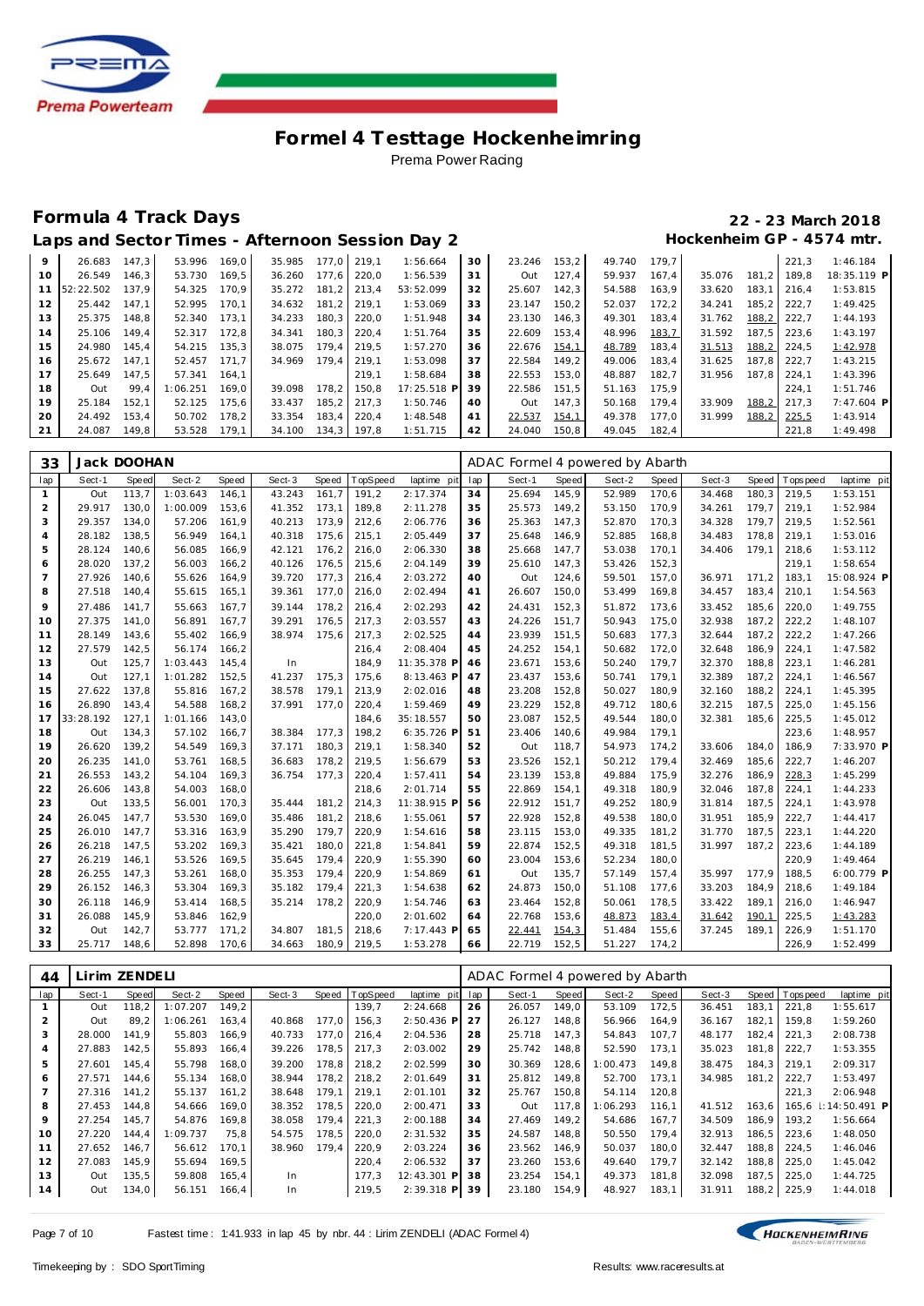

### **Formula 4 Track Days 22 - 23 March 2018**

| Laps and Sector Times - Afternoon Session Day 2 | Hockenheim GP - 4574 mtr. |
|-------------------------------------------------|---------------------------|
|-------------------------------------------------|---------------------------|

| 9               | 26.683       | 147.3 | 53.996   | 169.0 | 35.985 | 177.0 219.1 |       | 1:56.664    | 30 | 23.246 | 153.2 | 49.740 | 179.7 |        |       | 221.3 | 1:46.184     |
|-----------------|--------------|-------|----------|-------|--------|-------------|-------|-------------|----|--------|-------|--------|-------|--------|-------|-------|--------------|
| $10^{-}$        | 26.549       | 146.3 | 53.730   | 169.5 | 36.260 | 177.6       | 220.0 | 1:56.539    | 31 | Out    | 127.4 | 59.937 | 167.4 | 35.076 | 181.2 | 189.8 | 18:35.119 P  |
|                 | 11 52:22.502 | 137.9 | 54.325   | 170.9 | 35.272 | 181.2       | 213.4 | 53:52.099   | 32 | 25.607 | 142.3 | 54.588 | 163.9 | 33.620 | 183.1 | 216.4 | 1:53.815     |
| 12 <sup>1</sup> | 25.442       | 147.1 | 52.995   | 170.1 | 34.632 | 181.2       | 219.1 | 1:53.069    | 33 | 23.147 | 150.2 | 52.037 | 172.2 | 34.241 | 185.2 | 222.7 | 1:49.425     |
| 13              | 25.375       | 148.8 | 52.340   | 173.1 | 34.233 | 180.3       | 220.0 | 1:51.948    | 34 | 23.130 | 146.3 | 49.301 | 183.4 | 31.762 | 188,2 | 222.7 | 1:44.193     |
| 14              | 25.106       | 149.4 | 52.317   | 172.8 | 34.341 | 180.3       | 220.4 | 1:51.764    | 35 | 22.609 | 153.4 | 48.996 | 183,7 | 31.592 | 187.5 | 223.6 | 1:43.197     |
| 15              | 24.980       | 145.4 | 54.215   | 135.3 | 38.075 | 179.4       | 219.5 | 1:57.270    | 36 | 22.676 | 154,1 | 48.789 | 183.4 | 31.513 | 188,2 | 224.5 | 1:42.978     |
| 16              | 25.672       | 147.1 | 52.457   | 171.7 | 34.969 | 179.4       | 219.1 | 1:53.098    | 37 | 22.584 | 149.2 | 49.006 | 183.4 | 31.625 | 187.8 | 222.7 | 1:43.215     |
| 17              | 25.649       | 147.5 | 57.341   | 164.1 |        |             | 219.1 | 1:58.684    | 38 | 22.553 | 153.0 | 48.887 | 182.7 | 31.956 | 187.8 | 224.1 | 1:43.396     |
| 18              | Out          | 99.4  | 1:06.251 | 169.0 | 39.098 | 178.2       | 150.8 | 17:25.518 P | 39 | 22.586 | 151.5 | 51.163 | 175.9 |        |       | 224.1 | 1:51.746     |
| 19              | 25.184       | 152.1 | 52.125   | 175.6 | 33.437 | 185.2       | 217.3 | 1:50.746    | 40 | Out    | 147.3 | 50.168 | 179.4 | 33.909 | 188.2 | 217.3 | $7:47.604$ P |
| 20              | 24.492       | 153.4 | 50.702   | 178.2 | 33.354 | 183.4       | 220.4 | 1:48.548    | 41 | 22.537 | 154,1 | 49.378 | 177.0 | 31.999 | 188,2 | 225,5 | 1:43.914     |
| 21              | 24.087       | 149.8 | 53.528   | 179.1 | 34.100 | 134.3       | 197.8 | 1:51.715    | 42 | 24.040 | 150,8 | 49.045 | 182,4 |        |       | 221.8 | 1:49.498     |

| 33             | Jack DOOHAN |              |          |       |        |       |          |             |     | ADAC Formel 4 powered by Abarth |       |        |       |        |       |                 |             |
|----------------|-------------|--------------|----------|-------|--------|-------|----------|-------------|-----|---------------------------------|-------|--------|-------|--------|-------|-----------------|-------------|
| lap            | Sect-1      | <b>Speed</b> | Sect-2   | Speed | Sect-3 | Speed | TopSpeed | laptime pit | lap | Sect-1                          | Speed | Sect-2 | Speed | Sect-3 |       | Speed Tops peed | laptime pit |
| 1              | Out         | 113,7        | 1:03.643 | 146,1 | 43.243 | 161,7 | 191,2    | 2:17.374    | 34  | 25.694                          | 145,9 | 52.989 | 170,6 | 34.468 | 180,3 | 219,5           | 1:53.151    |
| 2              | 29.917      | 130,0        | 1:00.009 | 153,6 | 41.352 | 173,1 | 189,8    | 2:11.278    | 35  | 25.573                          | 149,2 | 53.150 | 170,9 | 34.261 | 179,7 | 219,1           | 1:52.984    |
| 3              | 29.357      | 134.0        | 57.206   | 161.9 | 40.213 | 173.9 | 212,6    | 2:06.776    | 36  | 25.363                          | 147,3 | 52.870 | 170,3 | 34.328 | 179.7 | 219.5           | 1:52.561    |
| 4              | 28.182      | 138,5        | 56.949   | 164,1 | 40.318 | 175,6 | 215,1    | 2:05.449    | 37  | 25.648                          | 146,9 | 52.885 | 168,8 | 34.483 | 178.8 | 219,1           | 1:53.016    |
| 5              | 28.124      | 140,6        | 56.085   | 166,9 | 42.121 | 176,2 | 216,0    | 2:06.330    | 38  | 25.668                          | 147,7 | 53.038 | 170,1 | 34.406 | 179,1 | 218,6           | 1:53.112    |
| 6              | 28.020      | 137,2        | 56.003   | 166,2 | 40.126 | 176,5 | 215,6    | 2:04.149    | 39  | 25.610                          | 147,3 | 53.426 | 152,3 |        |       | 219,1           | 1:58.654    |
| $\overline{7}$ | 27.926      | 140.6        | 55.626   | 164,9 | 39.720 | 177,3 | 216,4    | 2:03.272    | 40  | Out                             | 124,6 | 59.501 | 157,0 | 36.971 | 171.2 | 183,1           | 15:08.924 P |
| 8              | 27.518      | 140.4        | 55.615   | 165,1 | 39.361 | 177,0 | 216,0    | 2:02.494    | 41  | 26.607                          | 150,0 | 53.499 | 169,8 | 34.457 | 183,4 | 210,1           | 1:54.563    |
| 9              | 27.486      | 141.7        | 55.663   | 167,7 | 39.144 | 178,2 | 216,4    | 2:02.293    | 42  | 24.431                          | 152,3 | 51.872 | 173,6 | 33.452 | 185,6 | 220,0           | 1:49.755    |
| 10             | 27.375      | 141.0        | 56.891   | 167,7 | 39.291 | 176,5 | 217,3    | 2:03.557    | 43  | 24.226                          | 151,7 | 50.943 | 175,0 | 32.938 | 187,2 | 222,2           | 1:48.107    |
| 11             | 28.149      | 143,6        | 55.402   | 166,9 | 38.974 | 175,6 | 217,3    | 2:02.525    | 44  | 23.939                          | 151,5 | 50.683 | 177,3 | 32.644 | 187,2 | 222,2           | 1:47.266    |
| 12             | 27.579      | 142,5        | 56.174   | 166,2 |        |       | 216,4    | 2:08.404    | 45  | 24.252                          | 154,1 | 50.682 | 172,0 | 32.648 | 186,9 | 224,1           | 1:47.582    |
| 13             | Out         | 125,7        | 1:03.443 | 145,4 | In     |       | 184.9    | 11:35.378 P | 46  | 23.671                          | 153,6 | 50.240 | 179,7 | 32.370 | 188,8 | 223,1           | 1:46.281    |
| 14             | Out         | 127,1        | 1:01.282 | 152,5 | 41.237 | 175,3 | 175,6    | 8:13.463 P  | 47  | 23.437                          | 153,6 | 50.741 | 179,1 | 32.389 | 187,2 | 224,1           | 1:46.567    |
| 15             | 27.622      | 137,8        | 55.816   | 167,2 | 38.578 | 179,1 | 213,9    | 2:02.016    | 48  | 23.208                          | 152,8 | 50.027 | 180,9 | 32.160 | 188,2 | 224,1           | 1:45.395    |
| 16             | 26.890      | 143.4        | 54.588   | 168,2 | 37.991 | 177,0 | 220,4    | 1:59.469    | 49  | 23.229                          | 152,8 | 49.712 | 180,6 | 32.215 | 187.5 | 225,0           | 1:45.156    |
| 17             | 33:28.192   | 127,1        | 1:01.166 | 143,0 |        |       | 184,6    | 35:18.557   | 50  | 23.087                          | 152,5 | 49.544 | 180,0 | 32.381 | 185,6 | 225,5           | 1:45.012    |
| 18             | Out         | 134,3        | 57.102   | 166,7 | 38.384 | 177,3 | 198,2    | 6:35.726 P  | 51  | 23.406                          | 140,6 | 49.984 | 179,1 |        |       | 223,6           | 1:48.957    |
| 19             | 26.620      | 139.2        | 54.549   | 169,3 | 37.171 | 180,3 | 219,1    | 1:58.340    | 52  | Out                             | 118,7 | 54.973 | 174,2 | 33.606 | 184.0 | 186,9           | 7:33.970 P  |
| 20             | 26.235      | 141.0        | 53.761   | 168.5 | 36.683 | 178.2 | 219,5    | 1:56.679    | 53  | 23.526                          | 152,1 | 50.212 | 179,4 | 32.469 | 185,6 | 222,7           | 1:46.207    |
| 21             | 26.553      | 143,2        | 54.104   | 169,3 | 36.754 | 177,3 | 220,4    | 1:57.411    | 54  | 23.139                          | 153,8 | 49.884 | 175,9 | 32.276 | 186,9 | 228,3           | 1:45.299    |
| 22             | 26.606      | 143,8        | 54.003   | 168,0 |        |       | 218,6    | 2:01.714    | 55  | 22.869                          | 154,1 | 49.318 | 180,9 | 32.046 | 187,8 | 224,1           | 1:44.233    |
| 23             | Out         | 133,5        | 56.001   | 170,3 | 35.444 | 181,2 | 214,3    | 11:38.915 F | 56  | 22.912                          | 151,7 | 49.252 | 180,9 | 31.814 | 187,5 | 224,1           | 1:43.978    |
| 24             | 26.045      | 147.7        | 53.530   | 169.0 | 35.486 | 181,2 | 218,6    | 1:55.061    | 57  | 22.928                          | 152,8 | 49.538 | 180,0 | 31.951 | 185,9 | 222,7           | 1:44.417    |
| 25             | 26.010      | 147.7        | 53.316   | 163,9 | 35.290 | 179,7 | 220,9    | 1:54.616    | 58  | 23.115                          | 153,0 | 49.335 | 181,2 | 31.770 | 187.5 | 223,1           | 1:44.220    |
| 26             | 26.218      | 147,5        | 53.202   | 169,3 | 35.421 | 180,0 | 221,8    | 1:54.841    | 59  | 22.874                          | 152,5 | 49.318 | 181,5 | 31.997 | 187,2 | 223,6           | 1:44.189    |
| 27             | 26.219      | 146,1        | 53.526   | 169,5 | 35.645 | 179,4 | 220,9    | 1:55.390    | 60  | 23.004                          | 153,6 | 52.234 | 180,0 |        |       | 220,9           | 1:49.464    |
| 28             | 26.255      | 147.3        | 53.261   | 168,0 | 35.353 | 179,4 | 220,9    | 1:54.869    | 61  | Out                             | 135,7 | 57.149 | 157,4 | 35.997 | 177.9 | 188,5           | 6:00.779 P  |
| 29             | 26.152      | 146,3        | 53.304   | 169,3 | 35.182 | 179,4 | 221,3    | 1:54.638    | 62  | 24.873                          | 150,0 | 51.108 | 177,6 | 33.203 | 184,9 | 218,6           | 1:49.184    |
| 30             | 26.118      | 146.9        | 53.414   | 168,5 | 35.214 | 178,2 | 220,9    | 1:54.746    | 63  | 23.464                          | 152,8 | 50.061 | 178,5 | 33.422 | 189.1 | 216.0           | 1:46.947    |
| 31             | 26.088      | 145,9        | 53.846   | 162,9 |        |       | 220,0    | 2:01.602    | 64  | 22.768                          | 153,6 | 48.873 | 183,4 | 31.642 | 190,1 | 225,5           | 1:43.283    |
| 32             | Out         | 142,7        | 53.777   | 171,2 | 34.807 | 181,5 | 218,6    | 7:17.443 P  | 65  | 22.441                          | 154,3 | 51.484 | 155,6 | 37.245 | 189,1 | 226,9           | 1:51.170    |
| 33             | 25.717      | 148.6        | 52.898   | 170.6 | 34.663 | 180,9 | 219,5    | 1:53.278    | 66  | 22.719                          | 152,5 | 51.227 | 174,2 |        |       | 226,9           | 1:52.499    |

| 44             | Lirim ZENDELI |       |          |       |        |       |          |                           |     | ADAC Formel 4 powered by Abarth |       |          |       |        |       |          |                 |  |
|----------------|---------------|-------|----------|-------|--------|-------|----------|---------------------------|-----|---------------------------------|-------|----------|-------|--------|-------|----------|-----------------|--|
| lap            | Sect-1        | Speed | Sect-2   | Speed | Sect-3 | Speed | TopSpeed | laptime pit               | lap | Sect-1                          | Speed | Sect-2   | Speed | Sect-3 | Speed | Topspeed | laptime pit     |  |
|                | Out           | 118,2 | 1:07.207 | 149.2 |        |       | 139,7    | 2:24.668                  | 26  | 26.057                          | 149.0 | 53.109   | 172,5 | 36.451 | 183.1 | 221,8    | 1:55.617        |  |
| 2              | Out           | 89.2  | 1:06.261 | 163.4 | 40.868 | 177.0 | 156.3    | $2:50.436$ P              | 27  | 26.127                          | 148.8 | 56.966   | 164.9 | 36.167 | 182.1 | 159.8    | 1:59.260        |  |
| 3              | 28,000        | 141.9 | 55.803   | 166,9 | 40.733 | 177,0 | 216,4    | 2:04.536                  | 28  | 25.718                          | 147.3 | 54.843   | 107.7 | 48.177 | 182,4 | 221.3    | 2:08.738        |  |
| $\overline{4}$ | 27.883        | 142,5 | 55.893   | 166,4 | 39.226 | 178,5 | 217,3    | 2:03.002                  | 29  | 25.742                          | 148,8 | 52.590   | 173,1 | 35.023 | 181,8 | 222,7    | 1:53.355        |  |
| 5              | 27.601        | 145.4 | 55.798   | 168,0 | 39.200 | 178.8 | 218.2    | 2:02.599                  | 30  | 30.369                          | 128,6 | 1:00.473 | 149.8 | 38.475 | 184.3 | 219.1    | 2:09.317        |  |
| 6              | 27.571        | 144.6 | 55.134   | 168.0 | 38.944 | 178.2 | 218.2    | 2:01.649                  | 31  | 25.812                          | 149.8 | 52.700   | 173.1 | 34.985 | 181.2 | 222,7    | 1:53.497        |  |
|                | 27.316        | 141.2 | 55.137   | 161,2 | 38.648 | 179,1 | 219,1    | 2:01.101                  | 32  | 25.767                          | 150.8 | 54.114   | 120,8 |        |       | 221,3    | 2:06.948        |  |
| 8              | 27.453        | 144.8 | 54.666   | 169.0 | 38.352 | 178.5 | 220.0    | 2:00.471                  | 33  | Out                             | 117.8 | 1:06.293 | 116.1 | 41.512 | 163.6 | 165.6    | $1:14:50.491$ P |  |
| 9              | 27.254        | 145.7 | 54.876   | 169.8 | 38.058 | 179.4 | 221.3    | 2:00.188                  | 34  | 27.469                          | 149.2 | 54.686   | 167.7 | 34.509 | 186.9 | 193.2    | 1:56.664        |  |
| 10             | 27.220        | 144.4 | 1:09.737 | 75.8  | 54.575 | 178.5 | 220.0    | 2:31.532                  | 35  | 24.587                          | 148.8 | 50.550   | 179.4 | 32.913 | 186.5 | 223.6    | 1:48.050        |  |
| 11             | 27.652        | 146.7 | 56.612   | 170.1 | 38.960 | 179.4 | 220.9    | 2:03.224                  | 36  | 23.562                          | 146.9 | 50.037   | 180.0 | 32.447 | 188.8 | 224.5    | 1:46.046        |  |
| 12             | 27.083        | 145.9 | 55.694   | 169.5 |        |       | 220.4    | 2:06.532                  | 37  | 23.260                          | 153.6 | 49.640   | 179.7 | 32.142 | 188,8 | 225.0    | 1:45.042        |  |
| 13             | Out           | 135,5 | 59.808   | 165.4 | In     |       | 177.3    | 12:43.301<br>$\mathsf{P}$ | 38  | 23.254                          | 154.1 | 49.373   | 181.8 | 32.098 | 187.5 | 225.0    | 1:44.725        |  |
| 14             | Out           | 134,0 | 56.151   | 166,4 | In     |       | 219,5    | $2:39.318$ P              | 39  | 23.180                          | 154,9 | 48.927   | 183,1 | 31.911 | 188,2 | 225,9    | 1:44.018        |  |

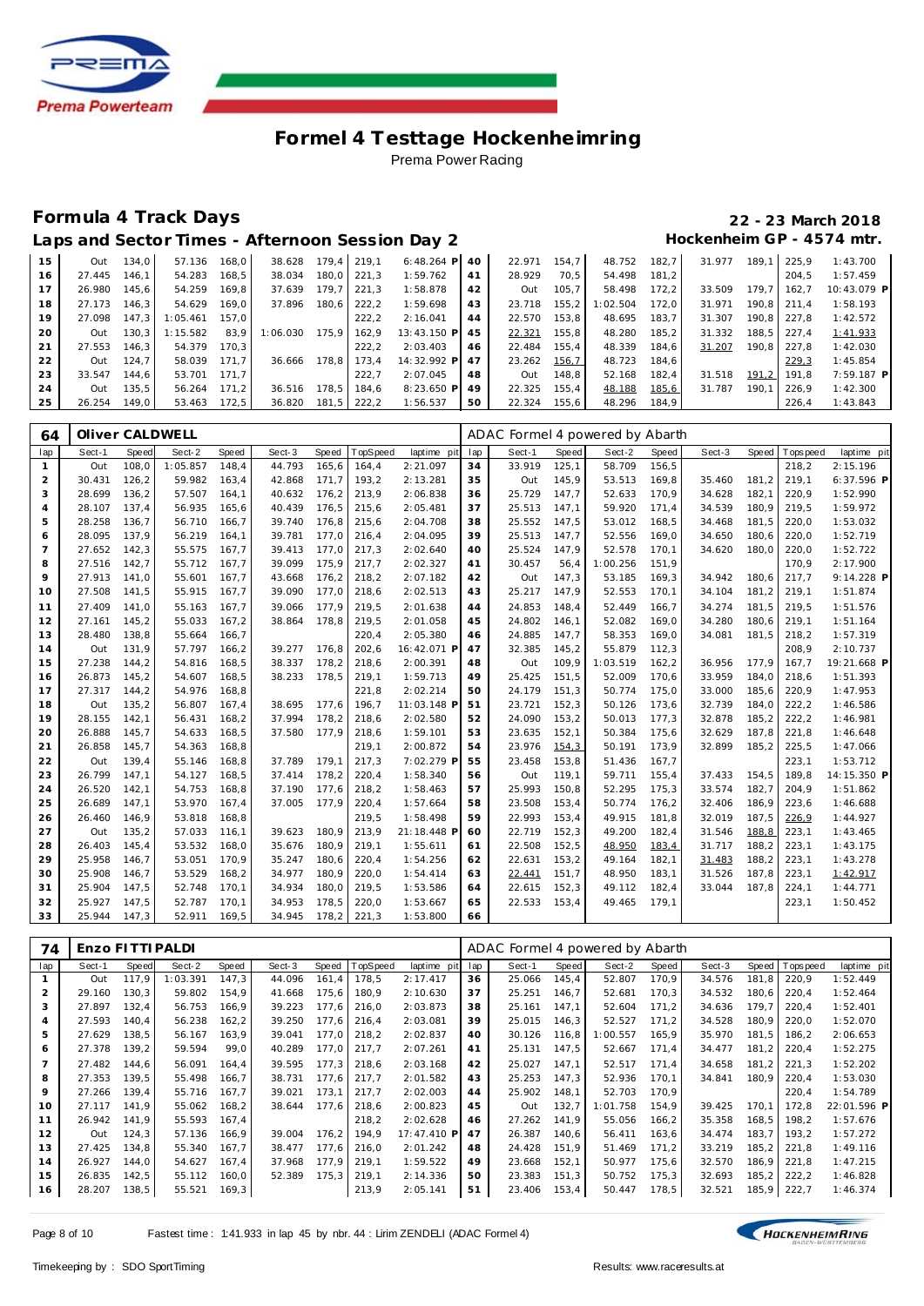

### **Formula 4 Track Days 22 - 23 March 2018**

| Laps and Sector Times - Afternoon Session Day 2 |  |  | Hockenheim GP - 4574 mtr. |
|-------------------------------------------------|--|--|---------------------------|
|                                                 |  |  |                           |

| 15 | Out    | 134.0 | 57.136       | 168.0 | 38.628   |       | 179.4 219.1   | $6:48.264$ P   | 40  | 22.971       | 154.7 | 48.752   | 182.7 | 31.977 | 189.  | 225.9 | 1:43.700    |
|----|--------|-------|--------------|-------|----------|-------|---------------|----------------|-----|--------------|-------|----------|-------|--------|-------|-------|-------------|
| 16 | 27.445 | 146.1 | 54.283       | 168.5 | 38.034   |       | 180.0 221.3   | 1:59.762       | 41  | 28.929       | 70.5  | 54.498   | 181.2 |        |       | 204.5 | 1:57.459    |
| 17 | 26.980 | 145.6 | 54.259       | 169.8 | 37.639   | 179.7 | 221.3         | 1:58.878       | 42  | Out          | 105.7 | 58.498   | 172.2 | 33.509 | 179.7 | 162.7 | 10:43.079 P |
| 18 | 27.173 | 146.3 | 54.629       | 169.0 | 37.896   | 180.6 | 222.2         | 1:59.698       | 43  | 23.718       | 155.2 | 1:02.504 | 172.0 | 31.971 | 190.8 | 211.4 | 1:58.193    |
| 19 | 27.098 | 147.3 | 1:05.461     | 157.0 |          |       | 222.2         | 2:16.041       | 44  | 22.570       | 153.8 | 48.695   | 183.7 | 31.307 | 190.8 | 227.8 | 1:42.572    |
| 20 | Out    | 130.3 | 1:15.582     | 83.9  | 1:06.030 | 175.9 | 162.9         | 13:43.150 P    | -45 | 22.321       | 155.8 | 48.280   | 185.2 | 31.332 | 188.5 | 227.4 | 1:41.933    |
| 21 | 27.553 | 146.3 | 54.379       | 170.3 |          |       | 222.2         | 2:03.403       | 46  | 22.484       | 155.4 | 48.339   | 184.6 | 31.207 | 190.8 | 227.8 | 1:42.030    |
| 22 | Out    | 124.7 | 58.039       | 171.7 | 36.666   | 178.8 | 173.4         | 14:32.992 P 47 |     | 23.262 156,7 |       | 48.723   | 184.6 |        |       | 229.3 | 1:45.854    |
| 23 | 33.547 | 144.6 | 53.701 171.7 |       |          |       | 222.7         | 2:07.045       | 48  | Out          | 148.8 | 52.168   | 182.4 | 31.518 | 191.2 | 191.8 | 7:59.187 P  |
| 24 | Out    | 135.5 | 56.264       | 171.2 | 36.516   |       | 178.5   184.6 | 8:23.650 P     | 49  | 22.325       | 155.4 | 48.188   | 185,6 | 31.787 | 190.7 | 226.9 | 1:42.300    |
| 25 | 26.254 | 149.0 | 53.463       | 172.5 | 36.820   |       | 181,5 222,2   | 1:56.537       | 50  | 22.324       | 155.6 | 48.296   | 184,9 |        |       | 226.4 | 1:43.843    |

| 64             | Oliver CALDWELL |       |          |       |        |       |          |             |     | ADAC Formel 4 powered by Abarth |       |          |       |        |       |            |             |
|----------------|-----------------|-------|----------|-------|--------|-------|----------|-------------|-----|---------------------------------|-------|----------|-------|--------|-------|------------|-------------|
| lap            | Sect-1          | Speed | Sect-2   | Speed | Sect-3 | Speed | TopSpeed | laptime pit | lap | Sect-1                          | Speed | Sect-2   | Speed | Sect-3 | Speed | T ops peed | laptime pit |
| $\mathbf{1}$   | Out             | 108,0 | 1:05.857 | 148,4 | 44.793 | 165,6 | 164,4    | 2:21.097    | 34  | 33.919                          | 125,1 | 58.709   | 156,5 |        |       | 218,2      | 2:15.196    |
| $\overline{2}$ | 30.431          | 126,2 | 59.982   | 163,4 | 42.868 | 171,7 | 193,2    | 2:13.281    | 35  | Out                             | 145,9 | 53.513   | 169,8 | 35.460 | 181,2 | 219,1      | 6:37.596 P  |
| 3              | 28.699          | 136,2 | 57.507   | 164,1 | 40.632 | 176,2 | 213,9    | 2:06.838    | 36  | 25.729                          | 147,7 | 52.633   | 170,9 | 34.628 | 182,1 | 220,9      | 1:52.990    |
| $\overline{4}$ | 28.107          | 137,4 | 56.935   | 165,6 | 40.439 | 176,5 | 215,6    | 2:05.481    | 37  | 25.513                          | 147,1 | 59.920   | 171,4 | 34.539 | 180,9 | 219,5      | 1:59.972    |
| 5              | 28.258          | 136,7 | 56.710   | 166,7 | 39.740 | 176,8 | 215,6    | 2:04.708    | 38  | 25.552                          | 147,5 | 53.012   | 168,5 | 34.468 | 181,5 | 220,0      | 1:53.032    |
| 6              | 28.095          | 137,9 | 56.219   | 164.1 | 39.781 | 177,0 | 216,4    | 2:04.095    | 39  | 25.513                          | 147,7 | 52.556   | 169,0 | 34.650 | 180.6 | 220,0      | 1:52.719    |
| $\overline{7}$ | 27.652          | 142,3 | 55.575   | 167,7 | 39.413 | 177,0 | 217,3    | 2:02.640    | 40  | 25.524                          | 147,9 | 52.578   | 170,1 | 34.620 | 180.0 | 220,0      | 1:52.722    |
| 8              | 27.516          | 142,7 | 55.712   | 167,7 | 39.099 | 175,9 | 217,7    | 2:02.327    | 41  | 30.457                          | 56,4  | 1:00.256 | 151,9 |        |       | 170,9      | 2:17.900    |
| 9              | 27.913          | 141,0 | 55.601   | 167,7 | 43.668 | 176,2 | 218,2    | 2:07.182    | 42  | Out                             | 147,3 | 53.185   | 169,3 | 34.942 | 180.6 | 217,7      | 9:14.228 P  |
| 10             | 27.508          | 141,5 | 55.915   | 167,7 | 39.090 | 177,0 | 218,6    | 2:02.513    | 43  | 25.217                          | 147,9 | 52.553   | 170,1 | 34.104 | 181,2 | 219,1      | 1:51.874    |
| 11             | 27.409          | 141,0 | 55.163   | 167,7 | 39.066 | 177,9 | 219,5    | 2:01.638    | 44  | 24.853                          | 148,4 | 52.449   | 166,7 | 34.274 | 181,5 | 219,5      | 1:51.576    |
| 12             | 27.161          | 145,2 | 55.033   | 167,2 | 38.864 | 178,8 | 219,5    | 2:01.058    | 45  | 24.802                          | 146,1 | 52.082   | 169,0 | 34.280 | 180,6 | 219,1      | 1:51.164    |
| 13             | 28.480          | 138,8 | 55.664   | 166,7 |        |       | 220,4    | 2:05.380    | 46  | 24.885                          | 147,7 | 58.353   | 169,0 | 34.081 | 181,5 | 218,2      | 1:57.319    |
| 14             | Out             | 131,9 | 57.797   | 166,2 | 39.277 | 176,8 | 202,6    | 16:42.071 P | 47  | 32.385                          | 145,2 | 55.879   | 112,3 |        |       | 208,9      | 2:10.737    |
| 15             | 27.238          | 144,2 | 54.816   | 168,5 | 38.337 | 178,2 | 218,6    | 2:00.391    | 48  | Out                             | 109,9 | 1:03.519 | 162,2 | 36.956 | 177,9 | 167,7      | 19:21.668 P |
| 16             | 26.873          | 145,2 | 54.607   | 168.5 | 38.233 | 178,5 | 219,1    | 1:59.713    | 49  | 25.425                          | 151,5 | 52.009   | 170,6 | 33.959 | 184,0 | 218.6      | 1:51.393    |
| 17             | 27.317          | 144,2 | 54.976   | 168,8 |        |       | 221,8    | 2:02.214    | 50  | 24.179                          | 151,3 | 50.774   | 175,0 | 33.000 | 185,6 | 220,9      | 1:47.953    |
| 18             | Out             | 135,2 | 56.807   | 167,4 | 38.695 | 177,6 | 196,7    | 11:03.148 P | 51  | 23.721                          | 152,3 | 50.126   | 173,6 | 32.739 | 184,0 | 222,2      | 1:46.586    |
| 19             | 28.155          | 142,1 | 56.431   | 168,2 | 37.994 | 178,2 | 218,6    | 2:02.580    | 52  | 24.090                          | 153,2 | 50.013   | 177,3 | 32.878 | 185,2 | 222,2      | 1:46.981    |
| 20             | 26.888          | 145,7 | 54.633   | 168,5 | 37.580 | 177,9 | 218,6    | 1:59.101    | 53  | 23.635                          | 152,1 | 50.384   | 175,6 | 32.629 | 187,8 | 221,8      | 1:46.648    |
| 21             | 26.858          | 145,7 | 54.363   | 168,8 |        |       | 219,1    | 2:00.872    | 54  | 23.976                          | 154,3 | 50.191   | 173,9 | 32.899 | 185,2 | 225,5      | 1:47.066    |
| 22             | Out             | 139,4 | 55.146   | 168,8 | 37.789 | 179.1 | 217,3    | 7:02.279 P  | 55  | 23.458                          | 153,8 | 51.436   | 167,7 |        |       | 223.1      | 1:53.712    |
| 23             | 26.799          | 147,1 | 54.127   | 168,5 | 37.414 | 178,2 | 220,4    | 1:58.340    | 56  | Out                             | 119,1 | 59.711   | 155,4 | 37.433 | 154,5 | 189.8      | 14:15.350 P |
| 24             | 26.520          | 142,1 | 54.753   | 168,8 | 37.190 | 177,6 | 218,2    | 1:58.463    | 57  | 25.993                          | 150,8 | 52.295   | 175,3 | 33.574 | 182,7 | 204,9      | 1:51.862    |
| 25             | 26.689          | 147.1 | 53.970   | 167.4 | 37.005 | 177,9 | 220,4    | 1:57.664    | 58  | 23.508                          | 153,4 | 50.774   | 176,2 | 32.406 | 186,9 | 223,6      | 1:46.688    |
| 26             | 26.460          | 146,9 | 53.818   | 168,8 |        |       | 219,5    | 1:58.498    | 59  | 22.993                          | 153,4 | 49.915   | 181,8 | 32.019 | 187,5 | 226,9      | 1:44.927    |
| 27             | Out             | 135,2 | 57.033   | 116,1 | 39.623 | 180,9 | 213,9    | 21:18.448 P | 60  | 22.719                          | 152,3 | 49.200   | 182,4 | 31.546 | 188,8 | 223,1      | 1:43.465    |
| 28             | 26.403          | 145.4 | 53.532   | 168,0 | 35.676 | 180.9 | 219,1    | 1:55.611    | 61  | 22.508                          | 152,5 | 48.950   | 183,4 | 31.717 | 188,2 | 223.1      | 1:43.175    |
| 29             | 25.958          | 146,7 | 53.051   | 170,9 | 35.247 | 180,6 | 220,4    | 1:54.256    | 62  | 22.631                          | 153,2 | 49.164   | 182,1 | 31.483 | 188,2 | 223,1      | 1:43.278    |
| 30             | 25.908          | 146,7 | 53.529   | 168,2 | 34.977 | 180,9 | 220,0    | 1:54.414    | 63  | 22.441                          | 151,7 | 48.950   | 183,1 | 31.526 | 187,8 | 223,1      | 1:42.917    |
| 31             | 25.904          | 147.5 | 52.748   | 170,1 | 34.934 | 180,0 | 219,5    | 1:53.586    | 64  | 22.615                          | 152,3 | 49.112   | 182,4 | 33.044 | 187,8 | 224,1      | 1:44.771    |
| 32             | 25.927          | 147.5 | 52.787   | 170,1 | 34.953 | 178,5 | 220,0    | 1:53.667    | 65  | 22.533                          | 153,4 | 49.465   | 179,1 |        |       | 223,1      | 1:50.452    |
| 33             | 25.944          | 147,3 | 52.911   | 169,5 | 34.945 | 178,2 | 221,3    | 1:53.800    | 66  |                                 |       |          |       |        |       |            |             |

| 74             | Enzo FITTI PALDI |       |          |        |        |       |             |             | ADAC Formel 4 powered by Abarth |        |       |          |        |        |       |           |             |  |
|----------------|------------------|-------|----------|--------|--------|-------|-------------|-------------|---------------------------------|--------|-------|----------|--------|--------|-------|-----------|-------------|--|
| lap            | Sect-1           | Speed | Sect-2   | Speed  | Sect-3 | Speed | TopSpeed    | laptime pit | lap                             | Sect-1 | Speed | Sect-2   | Speed  | Sect-3 | Speed | Tops peed | laptime pit |  |
|                | Out              | 117.9 | 1:03.391 | 147.3  | 44.096 | 161,4 | 178,5       | 2:17.417    | 36                              | 25.066 | 145,4 | 52.807   | 170,9  | 34.576 | 181,8 | 220,9     | 1:52.449    |  |
| $\overline{2}$ | 29.160           | 130.3 | 59.802   | 154.9  | 41.668 | 175,6 | 180.9       | 2:10.630    | 37                              | 25.251 | 146.7 | 52.681   | 170,3  | 34.532 | 180,6 | 220,4     | 1:52.464    |  |
| 3              | 27.897           | 132,4 | 56.753   | 166,9  | 39.223 |       | 177,6 216,0 | 2:03.873    | 38                              | 25.161 | 147,1 | 52.604   | 171, 2 | 34.636 | 179,7 | 220,4     | 1:52.401    |  |
| 4              | 27.593           | 140,4 | 56.238   | 162, 2 | 39.250 |       | 177,6 216,4 | 2:03.081    | 39                              | 25.015 | 146,3 | 52.527   | 171,2  | 34.528 | 180,9 | 220,0     | 1:52.070    |  |
| 5              | 27.629           | 138.5 | 56.167   | 163.9  | 39.041 |       | 177,0 218,2 | 2:02.837    | 40                              | 30.126 | 116.8 | 1:00.557 | 165,9  | 35.970 | 181.5 | 186.2     | 2:06.653    |  |
| 6              | 27.378           | 139,2 | 59.594   | 99,0   | 40.289 | 177.0 | 217.7       | 2:07.261    | 41                              | 25.131 | 147.5 | 52.667   | 171,4  | 34.477 | 181,2 | 220,4     | 1:52.275    |  |
| $\overline{7}$ | 27.482           | 144.6 | 56.091   | 164.4  | 39.595 | 177.3 | 218.6       | 2:03.168    | 42                              | 25.027 | 147.1 | 52.517   | 171,4  | 34.658 | 181,2 | 221.3     | 1:52.202    |  |
| 8              | 27.353           | 139,5 | 55.498   | 166,7  | 38.731 | 177,6 | 217,7       | 2:01.582    | 43                              | 25.253 | 147,3 | 52.936   | 170,1  | 34.841 | 180,9 | 220,4     | 1:53.030    |  |
| 9              | 27.266           | 139.4 | 55.716   | 167,7  | 39.021 | 173.1 | 217.7       | 2:02.003    | 44                              | 25.902 | 148.1 | 52.703   | 170,9  |        |       | 220,4     | 1:54.789    |  |
| 10             | 27.117           | 141.9 | 55.062   | 168,2  | 38.644 | 177.6 | 218,6       | 2:00.823    | 45                              | Out    | 132,7 | 1:01.758 | 154,9  | 39.425 | 170,1 | 172.8     | 22:01.596 P |  |
| 11             | 26.942           | 141,9 | 55.593   | 167,4  |        |       | 218,2       | 2:02.628    | 46                              | 27.262 | 141,9 | 55.056   | 166,2  | 35.358 | 168,5 | 198.2     | 1:57.676    |  |
| 12             | Out              | 124,3 | 57.136   | 166,9  | 39.004 | 176,2 | 194.9       | 17:47.410 P | 47                              | 26.387 | 140,6 | 56.411   | 163,6  | 34.474 | 183,7 | 193.2     | 1:57.272    |  |
| 13             | 27.425           | 134.8 | 55.340   | 167,7  | 38.477 | 177,6 | 216,0       | 2:01.242    | 48                              | 24.428 | 151,9 | 51.469   | 171, 2 | 33.219 | 185,2 | 221,8     | 1:49.116    |  |
| 14             | 26.927           | 144.0 | 54.627   | 167.4  | 37.968 | 177.9 | 219.1       | 1:59.522    | 49                              | 23.668 | 152.1 | 50.977   | 175,6  | 32.570 | 186.9 | 221.8     | 1:47.215    |  |
| 15             | 26.835           | 142,5 | 55.112   | 160,0  | 52.389 | 175,3 | 219,1       | 2:14.336    | 50                              | 23.383 | 151,3 | 50.752   | 175,3  | 32.693 | 185,2 | 222,2     | 1:46.828    |  |
| 16             | 28.207           | 138,5 | 55.521   | 169,3  |        |       | 213,9       | 2:05.141    | 51                              | 23.406 | 153,4 | 50.447   | 178,5  | 32.521 | 185,9 | 222,7     | 1:46.374    |  |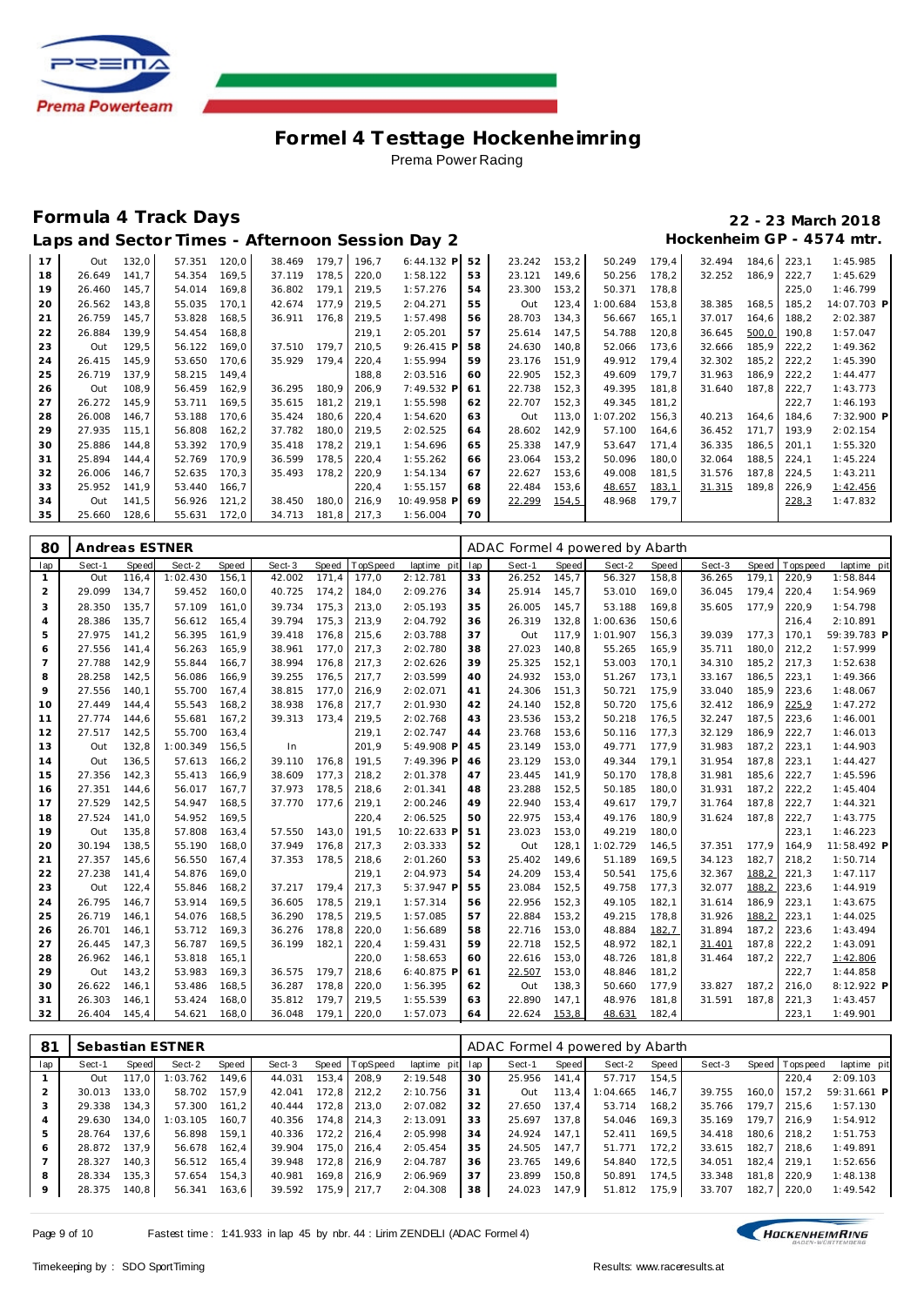

### **Formula 4 Track Days 22 - 23 March 2018**

Laps and Sector Times - Afternoon Session Day 2 **Hockenheim GP** - 4574 mtr.

| 17 | Out    | 132,0 | 57.351 | 120,0 | 38.469 | 179.7 | 196,7 | $6:44.132$ P | 52 | 23.242 | 153,2 | 50.249   | 179,4 | 32.494 | 184,6 | 223,1 | 1:45.985    |
|----|--------|-------|--------|-------|--------|-------|-------|--------------|----|--------|-------|----------|-------|--------|-------|-------|-------------|
| 18 | 26.649 | 141.7 | 54.354 | 169,5 | 37.119 | 178.5 | 220,0 | 1:58.122     | 53 | 23.121 | 149,6 | 50.256   | 178,2 | 32.252 | 186.9 | 222,7 | 1:45.629    |
| 19 | 26.460 | 145,7 | 54.014 | 169,8 | 36.802 | 179,1 | 219,5 | 1:57.276     | 54 | 23.300 | 153,2 | 50.371   | 178,8 |        |       | 225,0 | 1:46.799    |
| 20 | 26.562 | 143,8 | 55.035 | 170.1 | 42.674 | 177.9 | 219.5 | 2:04.271     | 55 | Out    | 123,4 | :00.684  | 153,8 | 38.385 | 168,5 | 185.2 | 14:07.703 P |
| 21 | 26.759 | 145,7 | 53.828 | 168,5 | 36.911 | 176,8 | 219,5 | 1:57.498     | 56 | 28.703 | 134,3 | 56.667   | 165,1 | 37.017 | 164,6 | 188,2 | 2:02.387    |
| 22 | 26.884 | 139.9 | 54.454 | 168,8 |        |       | 219,1 | 2:05.201     | 57 | 25.614 | 147,5 | 54.788   | 120,8 | 36.645 | 500,0 | 190,8 | 1:57.047    |
| 23 | Out    | 129,5 | 56.122 | 169,0 | 37.510 | 179.7 | 210,5 | $9:26.415$ P | 58 | 24.630 | 140,8 | 52.066   | 173,6 | 32.666 | 185,9 | 222,2 | 1:49.362    |
| 24 | 26.415 | 145.9 | 53.650 | 170,6 | 35.929 | 179,4 | 220,4 | 1:55.994     | 59 | 23.176 | 151,9 | 49.912   | 179,4 | 32.302 | 185,2 | 222,2 | 1:45.390    |
| 25 | 26.719 | 137.9 | 58.215 | 149,4 |        |       | 188,8 | 2:03.516     | 60 | 22.905 | 152,3 | 49.609   | 179,7 | 31.963 | 186,9 | 222,2 | 1:44.477    |
| 26 | Out    | 108,9 | 56.459 | 162,9 | 36.295 | 180,9 | 206,9 | 7:49.532 P   | 61 | 22.738 | 152,3 | 49.395   | 181,8 | 31.640 | 187.8 | 222,7 | 1:43.773    |
| 27 | 26.272 | 145.9 | 53.711 | 169,5 | 35.615 | 181,2 | 219,1 | 1:55.598     | 62 | 22.707 | 152,3 | 49.345   | 181,2 |        |       | 222,7 | 1:46.193    |
| 28 | 26.008 | 146,7 | 53.188 | 170,6 | 35.424 | 180,6 | 220,4 | 1:54.620     | 63 | Out    | 113,0 | 1:07.202 | 156,3 | 40.213 | 164,6 | 184,6 | 7:32.900 P  |
| 29 | 27.935 | 115,1 | 56.808 | 162,2 | 37.782 | 180,0 | 219,5 | 2:02.525     | 64 | 28.602 | 142,9 | 57.100   | 164,6 | 36.452 | 171,7 | 193,9 | 2:02.154    |
| 30 | 25.886 | 144.8 | 53.392 | 170.9 | 35.418 | 178.2 | 219.1 | 1:54.696     | 65 | 25.338 | 147.9 | 53.647   | 171.4 | 36.335 | 186.5 | 201.1 | 1:55.320    |
| 31 | 25.894 | 144,4 | 52.769 | 170,9 | 36.599 | 178,5 | 220,4 | 1:55.262     | 66 | 23.064 | 153,2 | 50.096   | 180,0 | 32.064 | 188,5 | 224,1 | 1:45.224    |
| 32 | 26.006 | 146.7 | 52.635 | 170,3 | 35.493 | 178,2 | 220,9 | 1:54.134     | 67 | 22.627 | 153,6 | 49.008   | 181,5 | 31.576 | 187,8 | 224,5 | 1:43.211    |
| 33 | 25.952 | 141,9 | 53.440 | 166,7 |        |       | 220,4 | 1:55.157     | 68 | 22.484 | 153,6 | 48.657   | 183,1 | 31.315 | 189,8 | 226,9 | 1:42.456    |
| 34 | Out    | 141,5 | 56.926 | 121,2 | 38.450 | 180.0 | 216,9 | 10:49.958 P  | 69 | 22.299 | 154,5 | 48.968   | 179.7 |        |       | 228,3 | 1:47.832    |
| 35 | 25.660 | 128,6 | 55.631 | 172,0 | 34.713 | 181,8 | 217,3 | 1:56.004     | 70 |        |       |          |       |        |       |       |             |

| 80             | Andreas ESTNER |       |          |       |        |       |          |             | ADAC Formel 4 powered by Abarth |        |       |          |       |        |       |            |             |
|----------------|----------------|-------|----------|-------|--------|-------|----------|-------------|---------------------------------|--------|-------|----------|-------|--------|-------|------------|-------------|
| lap            | Sect-1         | Speed | Sect-2   | Speed | Sect-3 | Speed | TopSpeed | laptime pit | lap                             | Sect-1 | Speed | Sect-2   | Speed | Sect-3 | Speed | T ops peed | laptime pit |
| 1              | Out            | 116.4 | 1:02.430 | 156.1 | 42.002 | 171.4 | 177.0    | 2:12.781    | 33                              | 26.252 | 145.7 | 56.327   | 158,8 | 36.265 | 179.1 | 220.9      | 1:58.844    |
| 2              | 29.099         | 134,7 | 59.452   | 160,0 | 40.725 | 174,2 | 184,0    | 2:09.276    | 34                              | 25.914 | 145,7 | 53.010   | 169,0 | 36.045 | 179,4 | 220,4      | 1:54.969    |
| 3              | 28.350         | 135,7 | 57.109   | 161,0 | 39.734 | 175,3 | 213,0    | 2:05.193    | 35                              | 26.005 | 145,7 | 53.188   | 169,8 | 35.605 | 177,9 | 220,9      | 1:54.798    |
| $\overline{4}$ | 28.386         | 135,7 | 56.612   | 165,4 | 39.794 | 175,3 | 213,9    | 2:04.792    | 36                              | 26.319 | 132,8 | 1:00.636 | 150.6 |        |       | 216,4      | 2:10.891    |
| 5              | 27.975         | 141,2 | 56.395   | 161,9 | 39.418 | 176,8 | 215,6    | 2:03.788    | 37                              | Out    | 117,9 | 1:01.907 | 156,3 | 39.039 | 177,3 | 170,1      | 59:39.783 P |
| 6              | 27.556         | 141,4 | 56.263   | 165.9 | 38.961 | 177,0 | 217,3    | 2:02.780    | 38                              | 27.023 | 140,8 | 55.265   | 165,9 | 35.711 | 180,0 | 212,2      | 1:57.999    |
| 7              | 27.788         | 142,9 | 55.844   | 166,7 | 38.994 | 176,8 | 217,3    | 2:02.626    | 39                              | 25.325 | 152,1 | 53.003   | 170,1 | 34.310 | 185,2 | 217,3      | 1:52.638    |
| 8              | 28.258         | 142,5 | 56.086   | 166.9 | 39.255 | 176.5 | 217,7    | 2:03.599    | 40                              | 24.932 | 153,0 | 51.267   | 173,1 | 33.167 | 186,5 | 223.1      | 1:49.366    |
| 9              | 27.556         | 140,1 | 55.700   | 167,4 | 38.815 | 177,0 | 216,9    | 2:02.071    | 41                              | 24.306 | 151,3 | 50.721   | 175,9 | 33.040 | 185,9 | 223,6      | 1:48.067    |
| 10             | 27.449         | 144,4 | 55.543   | 168,2 | 38.938 | 176,8 | 217,7    | 2:01.930    | 42                              | 24.140 | 152,8 | 50.720   | 175,6 | 32.412 | 186,9 | 225,9      | 1:47.272    |
| 11             | 27.774         | 144.6 | 55.681   | 167,2 | 39.313 | 173,4 | 219,5    | 2:02.768    | 43                              | 23.536 | 153,2 | 50.218   | 176,5 | 32.247 | 187,5 | 223,6      | 1:46.001    |
| 12             | 27.517         | 142,5 | 55.700   | 163,4 |        |       | 219,1    | 2:02.747    | 44                              | 23.768 | 153,6 | 50.116   | 177,3 | 32.129 | 186,9 | 222,7      | 1:46.013    |
| 13             | Out            | 132,8 | 1:00.349 | 156,5 | In     |       | 201.9    | 5:49.908 P  | 45                              | 23.149 | 153,0 | 49.771   | 177,9 | 31.983 | 187,2 | 223,1      | 1:44.903    |
| 14             | Out            | 136,5 | 57.613   | 166,2 | 39.110 | 176.8 | 191,5    | 7:49.396 P  | 46                              | 23.129 | 153,0 | 49.344   | 179,1 | 31.954 | 187,8 | 223,1      | 1:44.427    |
| 15             | 27.356         | 142,3 | 55.413   | 166,9 | 38.609 | 177.3 | 218,2    | 2:01.378    | 47                              | 23.445 | 141,9 | 50.170   | 178,8 | 31.981 | 185,6 | 222,7      | 1:45.596    |
| 16             | 27.351         | 144,6 | 56.017   | 167,7 | 37.973 | 178,5 | 218,6    | 2:01.341    | 48                              | 23.288 | 152,5 | 50.185   | 180,0 | 31.931 | 187,2 | 222,2      | 1:45.404    |
| 17             | 27.529         | 142,5 | 54.947   | 168,5 | 37.770 | 177,6 | 219,1    | 2:00.246    | 49                              | 22.940 | 153,4 | 49.617   | 179,7 | 31.764 | 187,8 | 222,7      | 1:44.321    |
| 18             | 27.524         | 141,0 | 54.952   | 169,5 |        |       | 220,4    | 2:06.525    | 50                              | 22.975 | 153,4 | 49.176   | 180,9 | 31.624 | 187,8 | 222,7      | 1:43.775    |
| 19             | Out            | 135,8 | 57.808   | 163,4 | 57.550 | 143,0 | 191,5    | 10:22.633 F | 51                              | 23.023 | 153,0 | 49.219   | 180,0 |        |       | 223,1      | 1:46.223    |
| 20             | 30.194         | 138.5 | 55.190   | 168.0 | 37.949 | 176.8 | 217,3    | 2:03.333    | 52                              | Out    | 128,1 | 1:02.729 | 146,5 | 37.351 | 177.9 | 164.9      | 11:58.492 P |
| 21             | 27.357         | 145,6 | 56.550   | 167,4 | 37.353 | 178,5 | 218,6    | 2:01.260    | 53                              | 25.402 | 149,6 | 51.189   | 169,5 | 34.123 | 182,7 | 218,2      | 1:50.714    |
| 22             | 27.238         | 141,4 | 54.876   | 169.0 |        |       | 219,1    | 2:04.973    | 54                              | 24.209 | 153,4 | 50.541   | 175,6 | 32.367 | 188,2 | 221,3      | 1:47.117    |
| 23             | Out            | 122,4 | 55.846   | 168,2 | 37.217 | 179,4 | 217,3    | 5:37.947 P  | 55                              | 23.084 | 152,5 | 49.758   | 177,3 | 32.077 | 188,2 | 223,6      | 1:44.919    |
| 24             | 26.795         | 146,7 | 53.914   | 169,5 | 36.605 | 178,5 | 219,1    | 1:57.314    | 56                              | 22.956 | 152,3 | 49.105   | 182,1 | 31.614 | 186,9 | 223,1      | 1:43.675    |
| 25             | 26.719         | 146.1 | 54.076   | 168,5 | 36.290 | 178.5 | 219,5    | 1:57.085    | 57                              | 22.884 | 153,2 | 49.215   | 178,8 | 31.926 | 188,2 | 223,1      | 1:44.025    |
| 26             | 26.701         | 146,1 | 53.712   | 169,3 | 36.276 | 178,8 | 220,0    | 1:56.689    | 58                              | 22.716 | 153,0 | 48.884   | 182,7 | 31.894 | 187,2 | 223,6      | 1:43.494    |
| 27             | 26.445         | 147,3 | 56.787   | 169,5 | 36.199 | 182,1 | 220,4    | 1:59.431    | 59                              | 22.718 | 152,5 | 48.972   | 182,1 | 31.401 | 187,8 | 222,2      | 1:43.091    |
| 28             | 26.962         | 146,1 | 53.818   | 165,1 |        |       | 220,0    | 1:58.653    | 60                              | 22.616 | 153,0 | 48.726   | 181,8 | 31.464 | 187,2 | 222,7      | 1:42.806    |
| 29             | Out            | 143,2 | 53.983   | 169,3 | 36.575 | 179.7 | 218,6    | 6:40.875 P  | 61                              | 22.507 | 153,0 | 48.846   | 181,2 |        |       | 222,7      | 1:44.858    |
| 30             | 26.622         | 146,1 | 53.486   | 168,5 | 36.287 | 178,8 | 220,0    | 1:56.395    | 62                              | Out    | 138,3 | 50.660   | 177,9 | 33.827 | 187,2 | 216,0      | 8:12.922 P  |
| 31             | 26.303         | 146,1 | 53.424   | 168,0 | 35.812 | 179.7 | 219,5    | 1:55.539    | 63                              | 22.890 | 147,1 | 48.976   | 181,8 | 31.591 | 187.8 | 221,3      | 1:43.457    |
| 32             | 26.404         | 145,4 | 54.621   | 168.0 | 36.048 | 179.1 | 220,0    | 1:57.073    | 64                              | 22.624 | 153,8 | 48.631   | 182,4 |        |       | 223,1      | 1:49.901    |

| 81      | Sebastian ESTNER |       |          |       |        |       |                  |             |     | ADAC Formel 4 powered by Abarth |       |          |       |        |       |                  |             |  |  |
|---------|------------------|-------|----------|-------|--------|-------|------------------|-------------|-----|---------------------------------|-------|----------|-------|--------|-------|------------------|-------------|--|--|
| lap     | Sect-1           | Speed | Sect-2   | Speed | Sect-3 |       | Speed   TopSpeed | laptime pit | lap | Sect-1                          | Speed | Sect-2   | Speed | Sect-3 |       | Speed   Topspeed | laptime pit |  |  |
|         | Out              | 117.0 | 1:03.762 | 149.6 | 44.031 | 153.4 | 208.9            | 2:19.548    | 30  | 25.956                          | 141.4 | 57.717   | 154.5 |        |       | 220.4            | 2:09.103    |  |  |
|         | 30.013           | 133.0 | 58.702   | 157.9 | 42.041 | 172.8 | 212.2            | 2:10.756    | 31  | Out                             | 113.4 | 1:04.665 | 146.7 | 39.755 | 160.0 | 157.2            | 59:31.661 P |  |  |
| 3       | 29.338           | 134.3 | 57.300   | 161.2 | 40.444 | 172.8 | 213.0            | 2:07.082    | 32  | 27.650                          | 137.4 | 53.714   | 168.2 | 35.766 | 179.7 | 215.6            | 1:57.130    |  |  |
|         | 29.630           | 134.0 | 1:03.105 | 160.7 | 40.356 | 174.8 | 214.3            | 2:13.091    | 33  | 25.697                          | 137.8 | 54.046   | 169.3 | 35.169 | 179.7 | 216.9            | 1:54.912    |  |  |
| 5       | 28.764           | 137.6 | 56.898   | 159.1 | 40.336 | 172.2 | 216.4            | 2:05.998    | 34  | 24.924                          | 147.1 | 52.411   | 169.5 | 34.418 | 180.6 | 218.2            | 1:51.753    |  |  |
| 6       | 28.872           | 137.9 | 56.678   | 162.4 | 39.904 | 175.0 | 216.4            | 2:05.454    | 35  | 24.505                          | 147.7 | 51.771   | 172.2 | 33.615 | 182.7 | 218.6            | 1:49.891    |  |  |
|         | 28.327           | 140.3 | 56.512   | 165.4 | 39.948 | 172.8 | 216.9            | 2:04.787    | 36  | 23.765                          | 149.6 | 54.840   | 172.5 | 34.051 | 182.4 | 219.1            | 1:52.656    |  |  |
| 8       | 28.334           | 135.3 | 57.654   | 154.3 | 40.981 | 169.8 | 216.9            | 2:06.969    | 37  | 23.899                          | 150.8 | 50.891   | 174.5 | 33.348 | 181.8 | 220.9            | 1:48.138    |  |  |
| $\circ$ | 28.375           | 140.8 | 56.341   | 163.6 | 39.592 | 175,9 | 217.7            | 2:04.308    | 38  | 24.023                          | 147.9 | 51.812   | 175,9 | 33.707 | 182.7 | 220.0            | 1:49.542    |  |  |